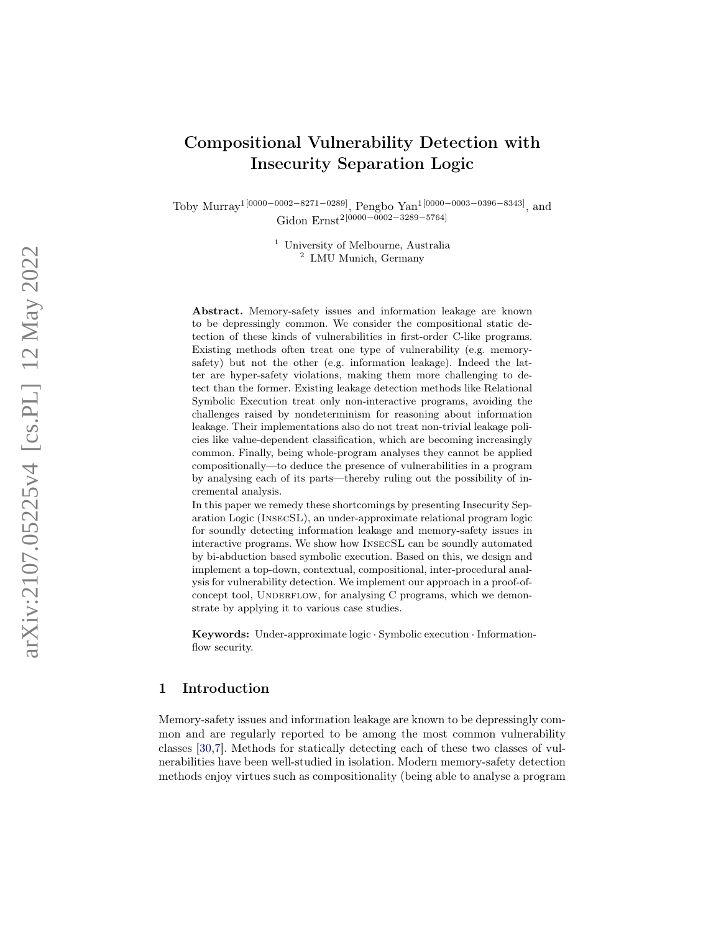# Compositional Vulnerability Detection with Insecurity Separation Logic

Toby Murray<sup>1[0000–0002–8271–0289]</sup>, Pengbo Yan<sup>1[0000–0003–0396–8343]</sup>, and Gidon Ernst<sup>2[0000–0002–3289–5764]</sup>

> <sup>1</sup> University of Melbourne, Australia <sup>2</sup> LMU Munich, Germany

Abstract. Memory-safety issues and information leakage are known to be depressingly common. We consider the compositional static detection of these kinds of vulnerabilities in first-order C-like programs. Existing methods often treat one type of vulnerability (e.g. memorysafety) but not the other (e.g. information leakage). Indeed the latter are hyper-safety violations, making them more challenging to detect than the former. Existing leakage detection methods like Relational Symbolic Execution treat only non-interactive programs, avoiding the challenges raised by nondeterminism for reasoning about information leakage. Their implementations also do not treat non-trivial leakage policies like value-dependent classification, which are becoming increasingly common. Finally, being whole-program analyses they cannot be applied compositionally—to deduce the presence of vulnerabilities in a program by analysing each of its parts—thereby ruling out the possibility of incremental analysis.

In this paper we remedy these shortcomings by presenting Insecurity Separation Logic (InsecSL), an under-approximate relational program logic for soundly detecting information leakage and memory-safety issues in interactive programs. We show how InsecSL can be soundly automated by bi-abduction based symbolic execution. Based on this, we design and implement a top-down, contextual, compositional, inter-procedural analysis for vulnerability detection. We implement our approach in a proof-ofconcept tool, UNDERFLOW, for analysing C programs, which we demonstrate by applying it to various case studies.

Keywords: Under-approximate logic · Symbolic execution · Informationflow security.

# 1 Introduction

Memory-safety issues and information leakage are known to be depressingly common and are regularly reported to be among the most common vulnerability classes [\[30](#page-31-0) , [7\]](#page-30-0). Methods for statically detecting each of these two classes of vulnerabilities have been well-studied in isolation. Modern memory-safety detection methods enjoy virtues such as compositionality (being able to analyse a program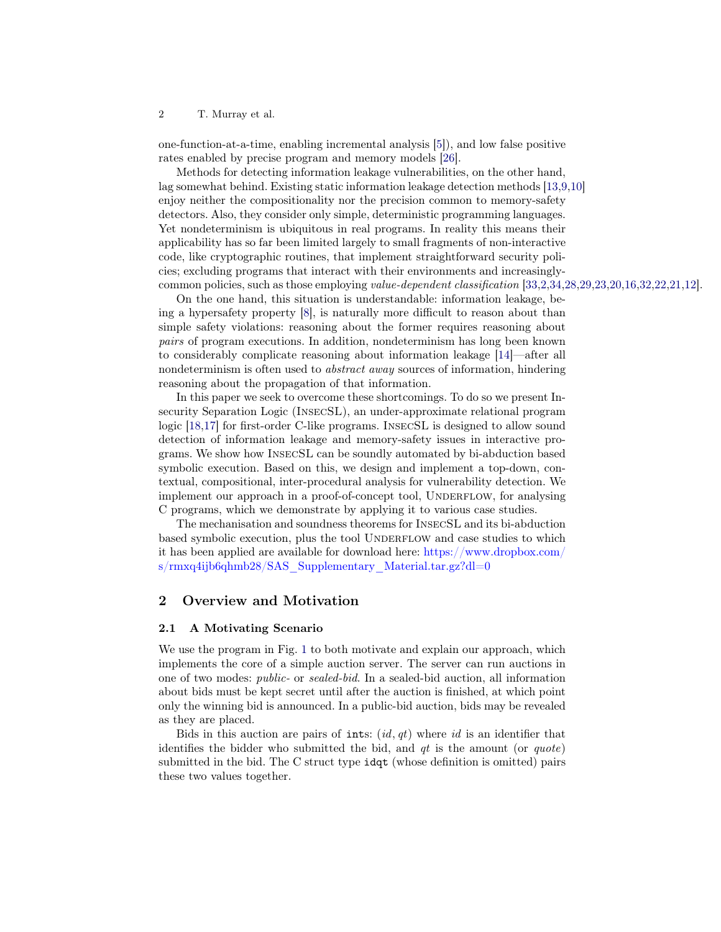one-function-at-a-time, enabling incremental analysis [\[5\]](#page-30-1)), and low false positive rates enabled by precise program and memory models [\[26\]](#page-31-1).

Methods for detecting information leakage vulnerabilities, on the other hand, lag somewhat behind. Existing static information leakage detection methods [\[13,](#page-30-2)[9,](#page-30-3)[10\]](#page-30-4) enjoy neither the compositionality nor the precision common to memory-safety detectors. Also, they consider only simple, deterministic programming languages. Yet nondeterminism is ubiquitous in real programs. In reality this means their applicability has so far been limited largely to small fragments of non-interactive code, like cryptographic routines, that implement straightforward security policies; excluding programs that interact with their environments and increasinglycommon policies, such as those employing value-dependent classification [\[33](#page-31-2)[,2](#page-30-5)[,34,](#page-31-3)[28,](#page-31-4)[29](#page-31-5)[,23,](#page-31-6)[20,](#page-31-7)[16,](#page-30-6)[32,](#page-31-8)[22,](#page-31-9)[21,](#page-31-10)[12\]](#page-30-7).

On the one hand, this situation is understandable: information leakage, being a hypersafety property [\[8\]](#page-30-8), is naturally more difficult to reason about than simple safety violations: reasoning about the former requires reasoning about pairs of program executions. In addition, nondeterminism has long been known to considerably complicate reasoning about information leakage [\[14\]](#page-30-9)—after all nondeterminism is often used to abstract away sources of information, hindering reasoning about the propagation of that information.

In this paper we seek to overcome these shortcomings. To do so we present Insecurity Separation Logic (InsecSL), an under-approximate relational program logic [\[18,](#page-30-10)[17\]](#page-30-11) for first-order C-like programs. InsecSL is designed to allow sound detection of information leakage and memory-safety issues in interactive programs. We show how InsecSL can be soundly automated by bi-abduction based symbolic execution. Based on this, we design and implement a top-down, contextual, compositional, inter-procedural analysis for vulnerability detection. We implement our approach in a proof-of-concept tool, UNDERFLOW, for analysing C programs, which we demonstrate by applying it to various case studies.

The mechanisation and soundness theorems for InsecSL and its bi-abduction based symbolic execution, plus the tool UNDERFLOW and case studies to which it has been applied are available for download here: [https://www.dropbox.com/](https://www.dropbox.com/s/rmxq4ijb6qhmb28/SAS_Supplementary_Material.tar.gz?dl=0) s/rmxq4ijb6qhmb28/SAS Supplementary Material.tar.gz?dl=0

# 2 Overview and Motivation

## <span id="page-1-0"></span>2.1 A Motivating Scenario

We use the program in Fig. [1](#page-2-0) to both motivate and explain our approach, which implements the core of a simple auction server. The server can run auctions in one of two modes: public- or sealed-bid. In a sealed-bid auction, all information about bids must be kept secret until after the auction is finished, at which point only the winning bid is announced. In a public-bid auction, bids may be revealed as they are placed.

Bids in this auction are pairs of ints:  $(id, qt)$  where id is an identifier that identifies the bidder who submitted the bid, and  $qt$  is the amount (or  $quote)$ ) submitted in the bid. The C struct type idqt (whose definition is omitted) pairs these two values together.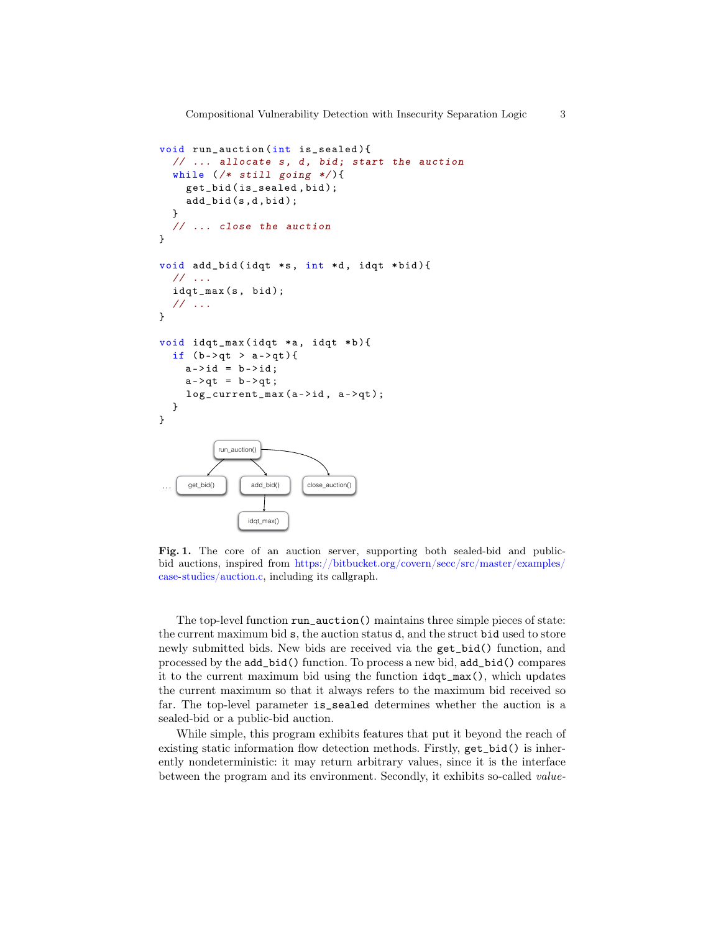```
void run_auction (int is_sealed ){
          // ... allocate s, d, bid; start the auction
          while (\n<math>*</math> still going */get_bid ( is_sealed ,bid );
            add_bid(s,d,bid);
          }
          // ... close the auction
       }
       void add_bid(idqt *s, int *d, idqt *bid){
          // ...
          idqt_max(s, bid);
          // ...
       }
       void idqt_max ( idqt *a, idqt *b){
          if (b - > qt > a - > qt){
            a - > id = b - > id;a - >qt = b - >qt;log_current_max(a->id, a->qt);
          }
       }
Detection
                  run_auction()
            get_bid() add_bid() close_auction()
                       idgt_max()
```
<span id="page-2-0"></span>Fig. 1. The core of an auction server, supporting both sealed-bid and publicbid auctions, inspired from [https://bitbucket.org/covern/secc/src/master/examples/](https://bitbucket.org/covern/secc/src/master/examples/case-studies/auction.c) [case-studies/auction.c,](https://bitbucket.org/covern/secc/src/master/examples/case-studies/auction.c) including its callgraph.

The top-level function run\_auction() maintains three simple pieces of state: the current maximum bid s, the auction status d, and the struct bid used to store newly submitted bids. New bids are received via the get\_bid() function, and processed by the add\_bid() function. To process a new bid, add\_bid() compares it to the current maximum bid using the function idqt\_max(), which updates the current maximum so that it always refers to the maximum bid received so far. The top-level parameter is\_sealed determines whether the auction is a sealed-bid or a public-bid auction.

While simple, this program exhibits features that put it beyond the reach of existing static information flow detection methods. Firstly, get\_bid() is inherently nondeterministic: it may return arbitrary values, since it is the interface between the program and its environment. Secondly, it exhibits so-called value-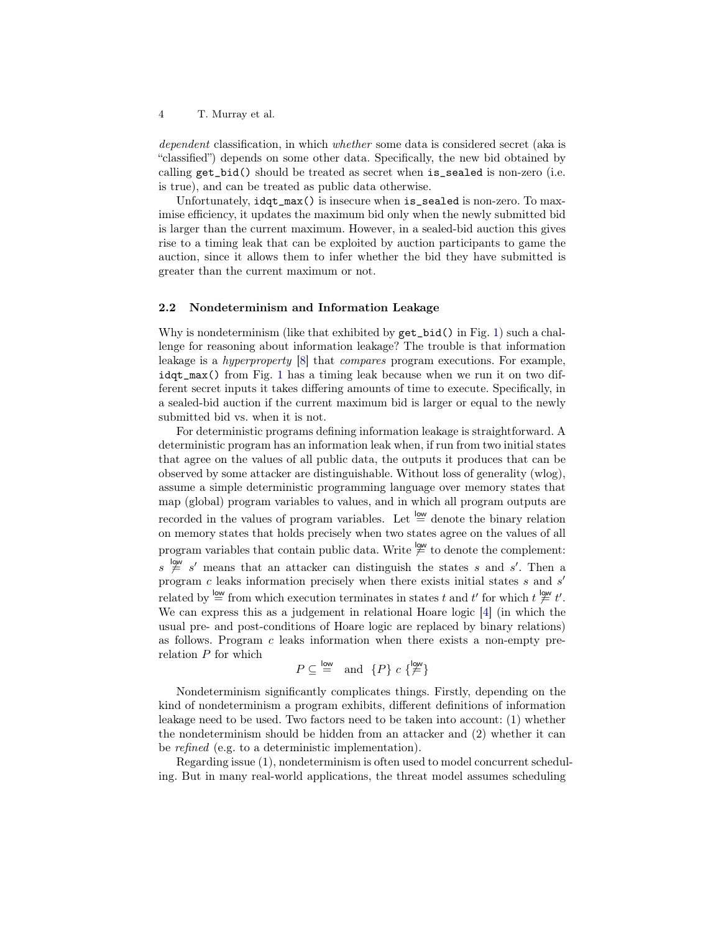dependent classification, in which whether some data is considered secret (aka is "classified") depends on some other data. Specifically, the new bid obtained by calling get\_bid() should be treated as secret when is\_sealed is non-zero (i.e. is true), and can be treated as public data otherwise.

Unfortunately, idqt\_max() is insecure when is\_sealed is non-zero. To maximise efficiency, it updates the maximum bid only when the newly submitted bid is larger than the current maximum. However, in a sealed-bid auction this gives rise to a timing leak that can be exploited by auction participants to game the auction, since it allows them to infer whether the bid they have submitted is greater than the current maximum or not.

# <span id="page-3-0"></span>2.2 Nondeterminism and Information Leakage

Why is nondeterminism (like that exhibited by  $get\_bid()$  in Fig. [1\)](#page-2-0) such a challenge for reasoning about information leakage? The trouble is that information leakage is a hyperproperty [\[8\]](#page-30-8) that compares program executions. For example, idqt\_max() from Fig. [1](#page-2-0) has a timing leak because when we run it on two different secret inputs it takes differing amounts of time to execute. Specifically, in a sealed-bid auction if the current maximum bid is larger or equal to the newly submitted bid vs. when it is not.

For deterministic programs defining information leakage is straightforward. A deterministic program has an information leak when, if run from two initial states that agree on the values of all public data, the outputs it produces that can be observed by some attacker are distinguishable. Without loss of generality (wlog), assume a simple deterministic programming language over memory states that map (global) program variables to values, and in which all program outputs are recorded in the values of program variables. Let  $\stackrel{\text{low}}{=}$  denote the binary relation on memory states that holds precisely when two states agree on the values of all program variables that contain public data. Write  $\stackrel{\text{low}}{\neq}$  to denote the complement:  $s \neq s'$  means that an attacker can distinguish the states s and s'. Then a program  $c$  leaks information precisely when there exists initial states  $s$  and  $s'$ related by  $\stackrel{\text{low}}{=}$  from which execution terminates in states t and t' for which  $t \not\stackrel{\text{low}}{=} t'.$ We can express this as a judgement in relational Hoare logic [\[4\]](#page-30-12) (in which the usual pre- and post-conditions of Hoare logic are replaced by binary relations) as follows. Program  $c$  leaks information when there exists a non-empty prerelation  $P$  for which

$$
P \subseteq \stackrel{\mathsf{low}}{=} \text{ and } \{P\} \ c \ {\stackrel{\mathsf{low}}{P}}
$$

Nondeterminism significantly complicates things. Firstly, depending on the kind of nondeterminism a program exhibits, different definitions of information leakage need to be used. Two factors need to be taken into account: (1) whether the nondeterminism should be hidden from an attacker and (2) whether it can be refined (e.g. to a deterministic implementation).

Regarding issue (1), nondeterminism is often used to model concurrent scheduling. But in many real-world applications, the threat model assumes scheduling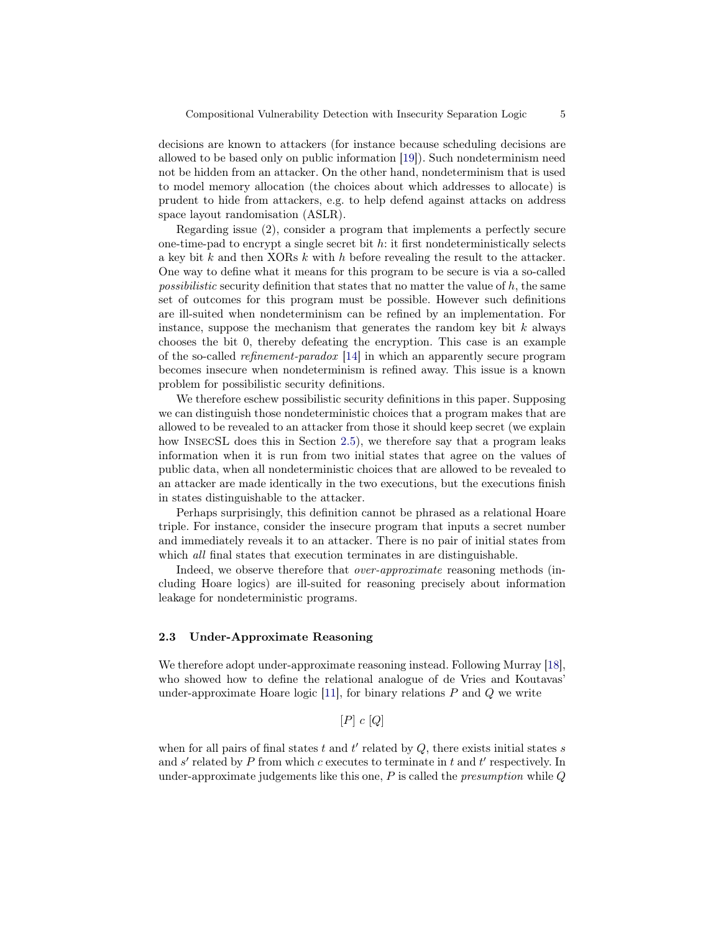decisions are known to attackers (for instance because scheduling decisions are allowed to be based only on public information [\[19\]](#page-30-13)). Such nondeterminism need not be hidden from an attacker. On the other hand, nondeterminism that is used to model memory allocation (the choices about which addresses to allocate) is prudent to hide from attackers, e.g. to help defend against attacks on address space layout randomisation (ASLR).

Regarding issue (2), consider a program that implements a perfectly secure one-time-pad to encrypt a single secret bit  $h$ : it first nondeterministically selects a key bit k and then XORs k with h before revealing the result to the attacker. One way to define what it means for this program to be secure is via a so-called *possibilistic* security definition that states that no matter the value of  $h$ , the same set of outcomes for this program must be possible. However such definitions are ill-suited when nondeterminism can be refined by an implementation. For instance, suppose the mechanism that generates the random key bit  $k$  always chooses the bit 0, thereby defeating the encryption. This case is an example of the so-called refinement-paradox [\[14\]](#page-30-9) in which an apparently secure program becomes insecure when nondeterminism is refined away. This issue is a known problem for possibilistic security definitions.

We therefore eschew possibilistic security definitions in this paper. Supposing we can distinguish those nondeterministic choices that a program makes that are allowed to be revealed to an attacker from those it should keep secret (we explain how INSECSL does this in Section [2.5\)](#page-6-0), we therefore say that a program leaks information when it is run from two initial states that agree on the values of public data, when all nondeterministic choices that are allowed to be revealed to an attacker are made identically in the two executions, but the executions finish in states distinguishable to the attacker.

Perhaps surprisingly, this definition cannot be phrased as a relational Hoare triple. For instance, consider the insecure program that inputs a secret number and immediately reveals it to an attacker. There is no pair of initial states from which *all* final states that execution terminates in are distinguishable.

Indeed, we observe therefore that over-approximate reasoning methods (including Hoare logics) are ill-suited for reasoning precisely about information leakage for nondeterministic programs.

## 2.3 Under-Approximate Reasoning

We therefore adopt under-approximate reasoning instead. Following Murray [\[18\]](#page-30-10), who showed how to define the relational analogue of de Vries and Koutavas' under-approximate Hoare logic [\[11\]](#page-30-14), for binary relations  $P$  and  $Q$  we write

 $[P]$  c  $[Q]$ 

when for all pairs of final states t and  $t'$  related by  $Q$ , there exists initial states s and  $s'$  related by P from which c executes to terminate in t and t' respectively. In under-approximate judgements like this one,  $P$  is called the *presumption* while  $Q$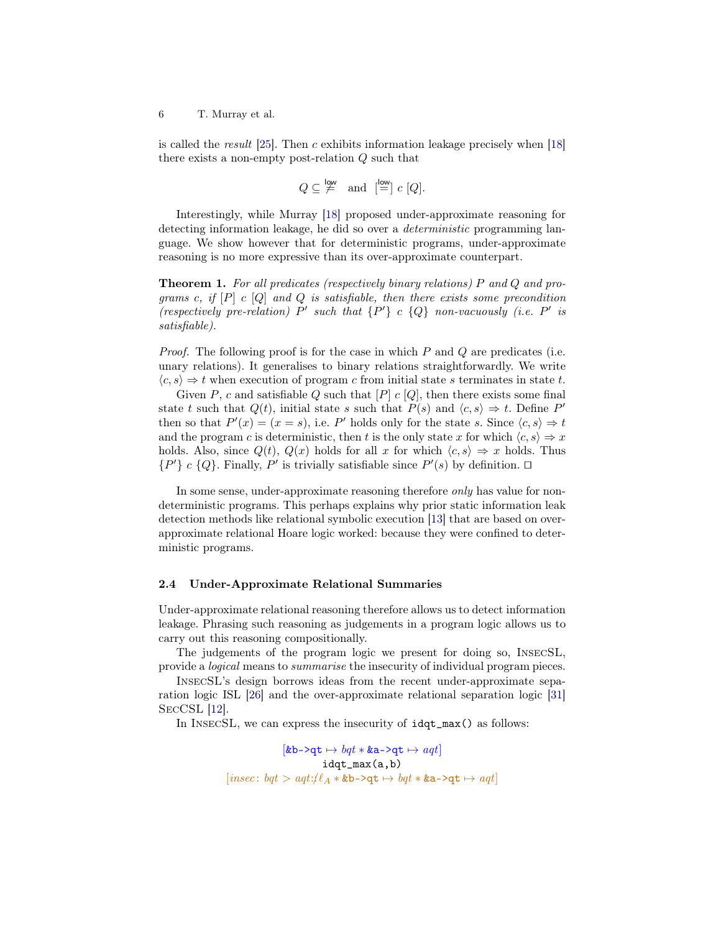is called the result  $[25]$ . Then c exhibits information leakage precisely when  $[18]$ there exists a non-empty post-relation Q such that

$$
Q \subseteq \stackrel{low}{\neq}
$$
 and  $\stackrel{low}{=} c [Q].$ 

Interestingly, while Murray [\[18\]](#page-30-10) proposed under-approximate reasoning for detecting information leakage, he did so over a deterministic programming language. We show however that for deterministic programs, under-approximate reasoning is no more expressive than its over-approximate counterpart.

<span id="page-5-0"></span>Theorem 1. For all predicates (respectively binary relations) P and Q and programs c, if  $[P]$  c  $[Q]$  and  $Q$  is satisfiable, then there exists some precondition (respectively pre-relation) P' such that  $\{P'\}$  c  $\{Q\}$  non-vacuously (i.e. P' is satisfiable).

*Proof.* The following proof is for the case in which  $P$  and  $Q$  are predicates (i.e. unary relations). It generalises to binary relations straightforwardly. We write  $\langle c, s \rangle \Rightarrow t$  when execution of program c from initial state s terminates in state t.

Given P, c and satisfiable Q such that  $[P]$  c  $[Q]$ , then there exists some final state t such that  $Q(t)$ , initial state s such that  $P(s)$  and  $\langle c, s \rangle \Rightarrow t$ . Define P' then so that  $P'(x) = (x = s)$ , i.e. P' holds only for the state s. Since  $\langle c, s \rangle \Rightarrow t$ and the program c is deterministic, then t is the only state x for which  $\langle c, s \rangle \Rightarrow x$ holds. Also, since  $Q(t)$ ,  $Q(x)$  holds for all x for which  $\langle c, s \rangle \Rightarrow x$  holds. Thus  $\{P'\}\,c\,\{Q\}.$  Finally, P' is trivially satisfiable since  $P'(s)$  by definition.  $\Box$ 

In some sense, under-approximate reasoning therefore *only* has value for nondeterministic programs. This perhaps explains why prior static information leak detection methods like relational symbolic execution [\[13\]](#page-30-2) that are based on overapproximate relational Hoare logic worked: because they were confined to deterministic programs.

## 2.4 Under-Approximate Relational Summaries

Under-approximate relational reasoning therefore allows us to detect information leakage. Phrasing such reasoning as judgements in a program logic allows us to carry out this reasoning compositionally.

The judgements of the program logic we present for doing so, InsecSL, provide a logical means to summarise the insecurity of individual program pieces.

InsecSL's design borrows ideas from the recent under-approximate separation logic ISL [\[26\]](#page-31-1) and the over-approximate relational separation logic [\[31\]](#page-31-12) SecCSL [\[12\]](#page-30-7).

In INSECSL, we can express the insecurity of  $idqt_max()$  as follows:

$$
[\texttt{\&b->qt}\mapsto\texttt{\&b->qt}\mapsto\texttt{\&aqt}] \\ \texttt{idqt\_max(a,b)} \\ [insec: \texttt{\&bqt}\gt;\texttt{aqt}:\texttt{\#}\texttt{\&a}*\texttt{\&b->qt}\mapsto\texttt{\&bqt}*}\texttt{\&a->qt}\mapsto\texttt{\&aqt}]
$$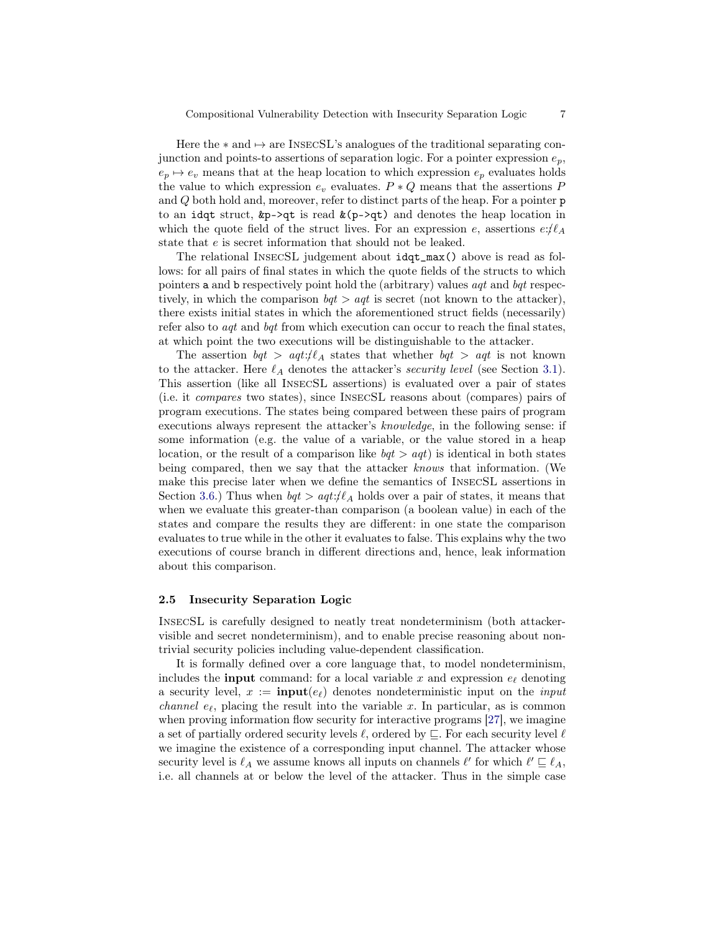Here the  $*$  and  $\mapsto$  are INSECSL's analogues of the traditional separating conjunction and points-to assertions of separation logic. For a pointer expression  $e_p$ ,  $e_p \mapsto e_v$  means that at the heap location to which expression  $e_p$  evaluates holds the value to which expression  $e_v$  evaluates.  $P * Q$  means that the assertions  $P$ and Q both hold and, moreover, refer to distinct parts of the heap. For a pointer p to an idqt struct,  $\&p\rightarrow qt$  is read  $\&(p\rightarrow qt)$  and denotes the heap location in which the quote field of the struct lives. For an expression e, assertions  $e:\ell_A$ state that e is secret information that should not be leaked.

The relational InsecSL judgement about idqt\_max() above is read as follows: for all pairs of final states in which the quote fields of the structs to which pointers a and b respectively point hold the (arbitrary) values  $aqt$  and  $bqt$  respectively, in which the comparison  $bqt > aqt$  is secret (not known to the attacker), there exists initial states in which the aforementioned struct fields (necessarily) refer also to *aqt* and *bqt* from which execution can occur to reach the final states, at which point the two executions will be distinguishable to the attacker.

The assertion  $bqt > aqt$ :  $\ell_A$  states that whether  $bqt > aqt$  is not known to the attacker. Here  $\ell_A$  denotes the attacker's security level (see Section [3.1\)](#page-12-0). This assertion (like all InsecSL assertions) is evaluated over a pair of states (i.e. it compares two states), since InsecSL reasons about (compares) pairs of program executions. The states being compared between these pairs of program executions always represent the attacker's knowledge, in the following sense: if some information (e.g. the value of a variable, or the value stored in a heap location, or the result of a comparison like  $bqt > aqt$  is identical in both states being compared, then we say that the attacker knows that information. (We make this precise later when we define the semantics of InsecSL assertions in Section [3.6.](#page-18-0)) Thus when  $bqt > aqt$ :/ $\ell_A$  holds over a pair of states, it means that when we evaluate this greater-than comparison (a boolean value) in each of the states and compare the results they are different: in one state the comparison evaluates to true while in the other it evaluates to false. This explains why the two executions of course branch in different directions and, hence, leak information about this comparison.

# <span id="page-6-0"></span>2.5 Insecurity Separation Logic

InsecSL is carefully designed to neatly treat nondeterminism (both attackervisible and secret nondeterminism), and to enable precise reasoning about nontrivial security policies including value-dependent classification.

It is formally defined over a core language that, to model nondeterminism, includes the **input** command: for a local variable x and expression  $e_\ell$  denoting a security level,  $x := \text{input}(e_\ell)$  denotes nondeterministic input on the *input channel e<sub>l</sub>*, placing the result into the variable x. In particular, as is common when proving information flow security for interactive programs [\[27\]](#page-31-13), we imagine a set of partially ordered security levels  $\ell$ , ordered by  $\subseteq$ . For each security level  $\ell$ we imagine the existence of a corresponding input channel. The attacker whose security level is  $\ell_A$  we assume knows all inputs on channels  $\ell'$  for which  $\ell' \sqsubseteq \ell_A$ , i.e. all channels at or below the level of the attacker. Thus in the simple case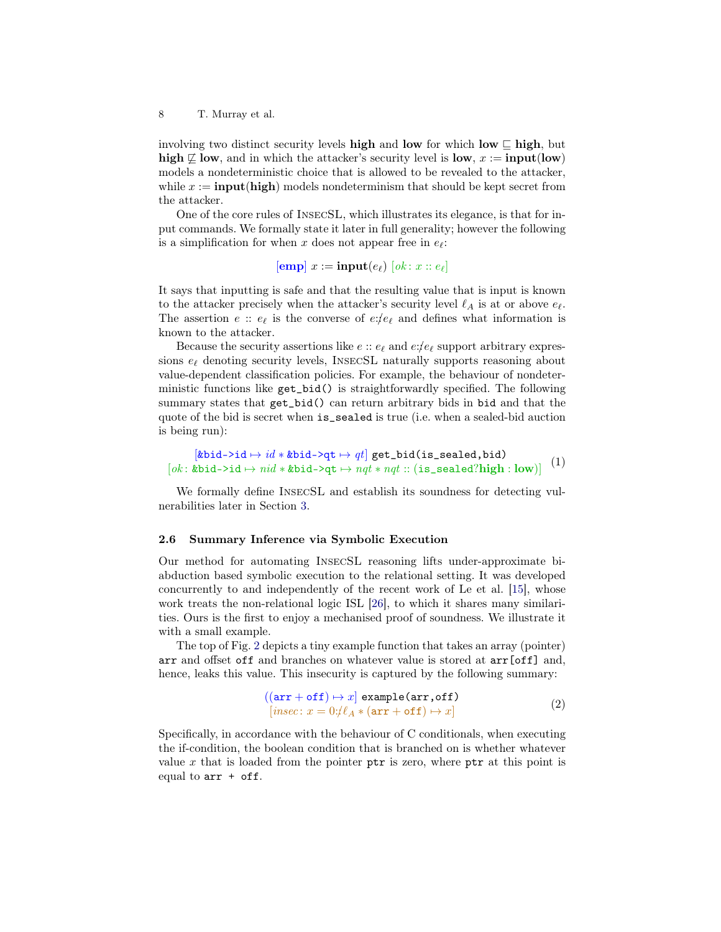involving two distinct security levels high and low for which low  $\subseteq$  high, but high  $\not\sqsubseteq$  low, and in which the attacker's security level is low,  $x := \text{input}(low)$ models a nondeterministic choice that is allowed to be revealed to the attacker, while  $x := \text{input}(\text{high})$  models nondeterminism that should be kept secret from the attacker.

One of the core rules of InsecSL, which illustrates its elegance, is that for input commands. We formally state it later in full generality; however the following is a simplification for when x does not appear free in  $e_{\ell}$ :

 $[\mathbf{emp}]$   $x := \mathbf{input}(e_\ell)$   $[ok : x :: e_\ell]$ 

It says that inputting is safe and that the resulting value that is input is known to the attacker precisely when the attacker's security level  $\ell_A$  is at or above  $e_\ell$ . The assertion  $e$ :  $e_{\ell}$  is the converse of  $e$ :/ $e_{\ell}$  and defines what information is known to the attacker.

Because the security assertions like  $e$ :  $e_{\ell}$  and  $e$ :/ $e_{\ell}$  support arbitrary expressions  $e_{\ell}$  denoting security levels, INSECSL naturally supports reasoning about value-dependent classification policies. For example, the behaviour of nondeterministic functions like get\_bid() is straightforwardly specified. The following summary states that get\_bid() can return arbitrary bids in bid and that the quote of the bid is secret when is\_sealed is true (i.e. when a sealed-bid auction is being run):

<span id="page-7-1"></span> $[\texttt{kbid-} $\rightarrow id * \texttt{kbid-} $\rightarrow qt] \texttt{ get\_bid}(\texttt{is\_sealed,bid})$  $[ok: kbid->id \rightarrow nid * kbid->qt \rightarrow nat * nqt : (is\_sealed?high : low)]$  (1)

We formally define InsecSL and establish its soundness for detecting vulnerabilities later in Section [3.](#page-12-1)

#### <span id="page-7-2"></span>2.6 Summary Inference via Symbolic Execution

Our method for automating InsecSL reasoning lifts under-approximate biabduction based symbolic execution to the relational setting. It was developed concurrently to and independently of the recent work of Le et al. [\[15\]](#page-30-15), whose work treats the non-relational logic ISL [\[26\]](#page-31-1), to which it shares many similarities. Ours is the first to enjoy a mechanised proof of soundness. We illustrate it with a small example.

The top of Fig. [2](#page-8-0) depicts a tiny example function that takes an array (pointer) arr and offset off and branches on whatever value is stored at arr[off] and, hence, leaks this value. This insecurity is captured by the following summary:

<span id="page-7-0"></span>
$$
((\text{arr} + \text{off}) \mapsto x] \text{ example}(\text{arr}, \text{off})
$$

$$
[insec: x = 0: \ell A * (\text{arr} + \text{off}) \mapsto x]
$$

$$
(2)
$$

Specifically, in accordance with the behaviour of C conditionals, when executing the if-condition, the boolean condition that is branched on is whether whatever value  $x$  that is loaded from the pointer ptr is zero, where ptr at this point is equal to  $arr + off$ .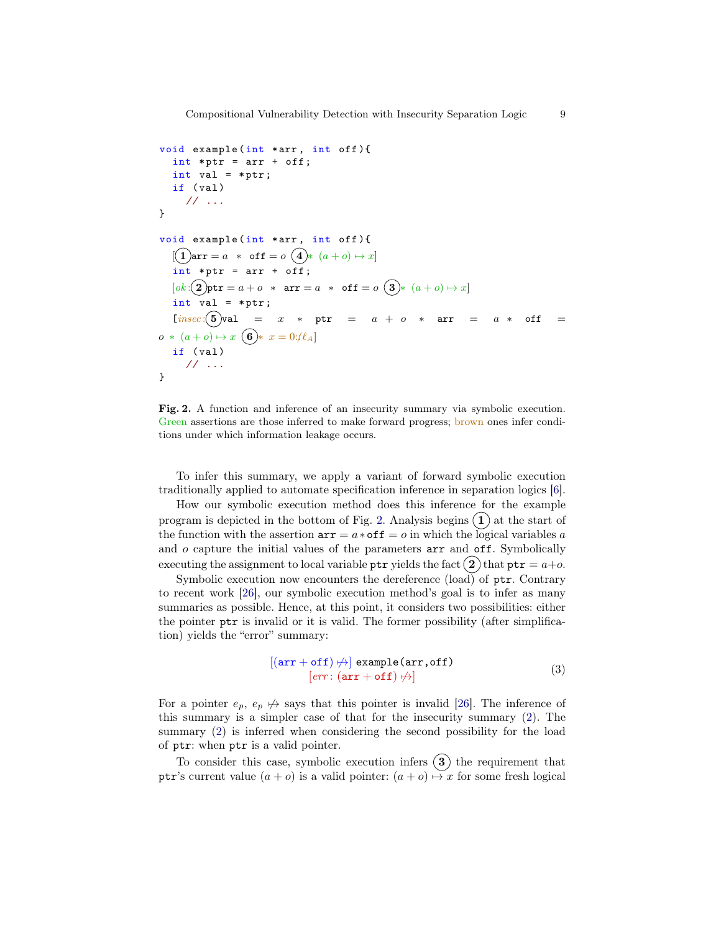```
void example (int *arr , int off ){
   int *ptr = arr + off;int val = *ptr;if (val)
      // ...
}
void example (int *arr, int off) {
   [(\, \mathbf{1} \,) \texttt{arr} = a \; * \; \texttt{off} = o \; (\, \mathbf{4} \,) * \; (a + o) \mapsto x]int *ptr = arr + off;[ok:2] \texttt{ptr} = a + o * \texttt{arr} = a * \texttt{off} = o \texttt{③} * (a + o) \mapsto x]int val = *ptr;[insec: (5)val = x * ptr = a + o * arr = a * off =
o * (a + o) \mapsto x \bullet x = 0: \ell Aif (val)
      // ...
}
```
<span id="page-8-0"></span>Fig. 2. A function and inference of an insecurity summary via symbolic execution. Green assertions are those inferred to make forward progress; brown ones infer conditions under which information leakage occurs.

To infer this summary, we apply a variant of forward symbolic execution traditionally applied to automate specification inference in separation logics [\[6\]](#page-30-16).

How our symbolic execution method does this inference for the example program is depicted in the bottom of Fig. [2.](#page-8-0) Analysis begins  $(1)$  at the start of the function with the assertion  $arr = a * off = o$  in which the logical variables a and  $o$  capture the initial values of the parameters  $arr$  and  $off.$  Symbolically executing the assignment to local variable ptr yields the fact  $(2)$  that  $ptr = a+o$ .

Symbolic execution now encounters the dereference  $(\text{load})$  of ptr. Contrary to recent work [\[26\]](#page-31-1), our symbolic execution method's goal is to infer as many summaries as possible. Hence, at this point, it considers two possibilities: either the pointer ptr is invalid or it is valid. The former possibility (after simplification) yields the "error" summary:

<span id="page-8-1"></span>
$$
[(\text{arr} + \text{off}) \nleftrightarrow ] \text{ example}(\text{arr}, \text{off})
$$
  

$$
[err: (\text{arr} + \text{off}) \nleftrightarrow ]
$$
 (3)

For a pointer  $e_p$ ,  $e_p \nleftrightarrow$  says that this pointer is invalid [\[26\]](#page-31-1). The inference of this summary is a simpler case of that for the insecurity summary [\(2\)](#page-7-0). The summary [\(2\)](#page-7-0) is inferred when considering the second possibility for the load of ptr: when ptr is a valid pointer.

To consider this case, symbolic execution infers  $(3)$  the requirement that ptr's current value  $(a + o)$  is a valid pointer:  $(a + o) \mapsto x$  for some fresh logical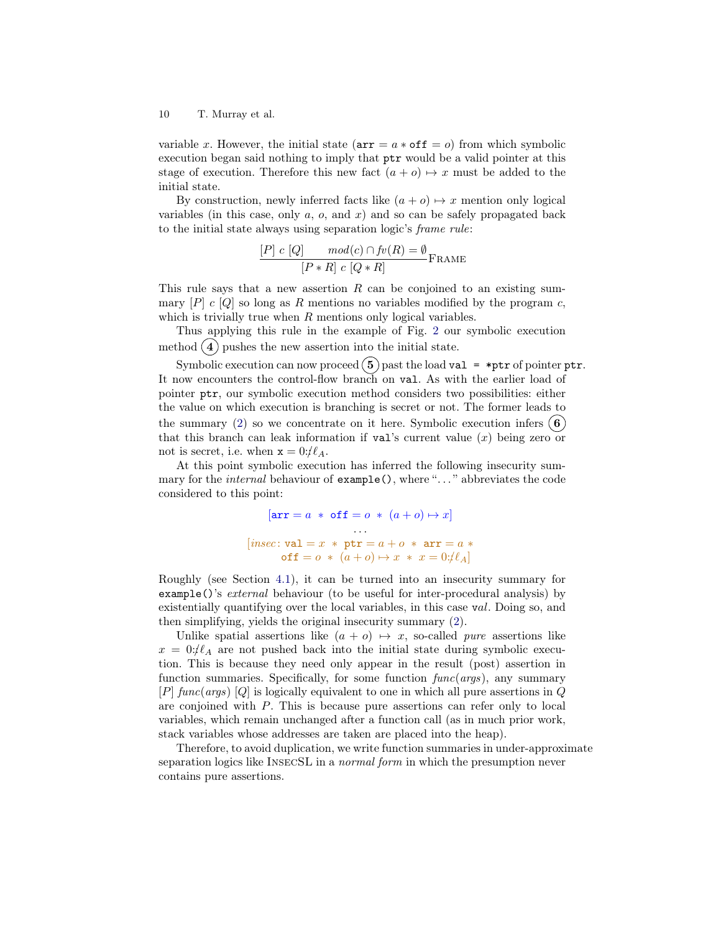variable x. However, the initial state  $(\text{arr} = a * \text{off} = o)$  from which symbolic execution began said nothing to imply that ptr would be a valid pointer at this stage of execution. Therefore this new fact  $(a + o) \mapsto x$  must be added to the initial state.

By construction, newly inferred facts like  $(a + o) \mapsto x$  mention only logical variables (in this case, only  $a, o$ , and  $x$ ) and so can be safely propagated back to the initial state always using separation logic's frame rule:

$$
\frac{[P] \ c \ [Q]}{[P * R] \ c \ [Q * R]} \mathsf{FRAME}
$$

This rule says that a new assertion R can be conjoined to an existing summary  $[P]$  c  $[Q]$  so long as R mentions no variables modified by the program c, which is trivially true when  $R$  mentions only logical variables.

Thus applying this rule in the example of Fig. [2](#page-8-0) our symbolic execution method  $(4)$  pushes the new assertion into the initial state.

Symbolic execution can now proceed  $(5)$  past the load val = \*ptr of pointer ptr. It now encounters the control-flow branch on val. As with the earlier load of pointer ptr, our symbolic execution method considers two possibilities: either the value on which execution is branching is secret or not. The former leads to the summary [\(2\)](#page-7-0) so we concentrate on it here. Symbolic execution infers  $(6)$ that this branch can leak information if  $val$ 's current value  $(x)$  being zero or not is secret, i.e. when  $x = 0: \ell A$ .

At this point symbolic execution has inferred the following insecurity summary for the *internal* behaviour of example(), where "..." abbreviates the code considered to this point:

> $[\texttt{arr} = a * \texttt{off} = o * (a + o) \mapsto x]$ . . .  $[insec: val = x * ptr = a + o * arr = a *$  $\texttt{off} = o \; * \; (a + o) \mapsto x \; * \; x = 0 : \ell A]$

Roughly (see Section [4.1\)](#page-25-0), it can be turned into an insecurity summary for example()'s external behaviour (to be useful for inter-procedural analysis) by existentially quantifying over the local variables, in this case val. Doing so, and then simplifying, yields the original insecurity summary [\(2\)](#page-7-0).

Unlike spatial assertions like  $(a + o) \mapsto x$ , so-called *pure* assertions like  $x = 0$ :/ $\ell_A$  are not pushed back into the initial state during symbolic execution. This is because they need only appear in the result (post) assertion in function summaries. Specifically, for some function  $func(args)$ , any summary  $[P]$  func(args)  $[Q]$  is logically equivalent to one in which all pure assertions in Q are conjoined with P. This is because pure assertions can refer only to local variables, which remain unchanged after a function call (as in much prior work, stack variables whose addresses are taken are placed into the heap).

Therefore, to avoid duplication, we write function summaries in under-approximate separation logics like INSECSL in a *normal form* in which the presumption never contains pure assertions.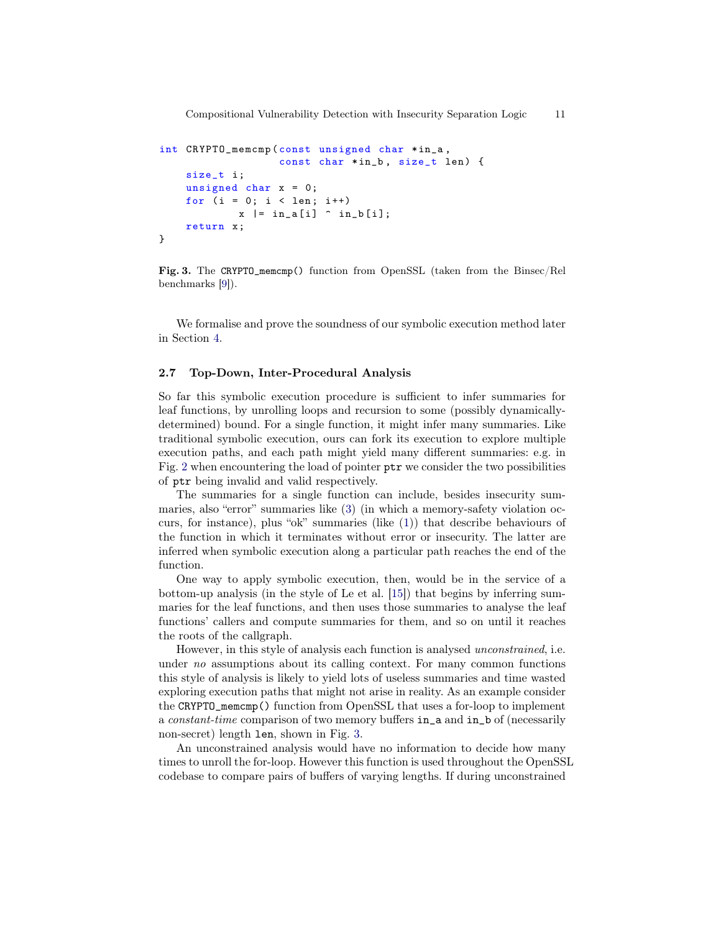```
int CRYPTO_memcmp ( const unsigned char *in_a ,
                   const char *in_b , size_t len) {
    size_t i;
    unsigned char x = 0;
    for (i = 0; i < len; i++)x = \{in_a[i] \cap in_b[i];return x;
}
```
<span id="page-10-0"></span>Fig. 3. The CRYPTO\_memcmp() function from OpenSSL (taken from the Binsec/Rel benchmarks [\[9\]](#page-30-3)).

We formalise and prove the soundness of our symbolic execution method later in Section [4.](#page-22-0)

# <span id="page-10-1"></span>2.7 Top-Down, Inter-Procedural Analysis

So far this symbolic execution procedure is sufficient to infer summaries for leaf functions, by unrolling loops and recursion to some (possibly dynamicallydetermined) bound. For a single function, it might infer many summaries. Like traditional symbolic execution, ours can fork its execution to explore multiple execution paths, and each path might yield many different summaries: e.g. in Fig. [2](#page-8-0) when encountering the load of pointer ptr we consider the two possibilities of ptr being invalid and valid respectively.

The summaries for a single function can include, besides insecurity summaries, also "error" summaries like [\(3\)](#page-8-1) (in which a memory-safety violation occurs, for instance), plus "ok" summaries (like [\(1\)](#page-7-1)) that describe behaviours of the function in which it terminates without error or insecurity. The latter are inferred when symbolic execution along a particular path reaches the end of the function.

One way to apply symbolic execution, then, would be in the service of a bottom-up analysis (in the style of Le et al. [\[15\]](#page-30-15)) that begins by inferring summaries for the leaf functions, and then uses those summaries to analyse the leaf functions' callers and compute summaries for them, and so on until it reaches the roots of the callgraph.

However, in this style of analysis each function is analysed unconstrained, i.e. under no assumptions about its calling context. For many common functions this style of analysis is likely to yield lots of useless summaries and time wasted exploring execution paths that might not arise in reality. As an example consider the CRYPTO\_memcmp() function from OpenSSL that uses a for-loop to implement a constant-time comparison of two memory buffers in\_a and in\_b of (necessarily non-secret) length len, shown in Fig. [3.](#page-10-0)

An unconstrained analysis would have no information to decide how many times to unroll the for-loop. However this function is used throughout the OpenSSL codebase to compare pairs of buffers of varying lengths. If during unconstrained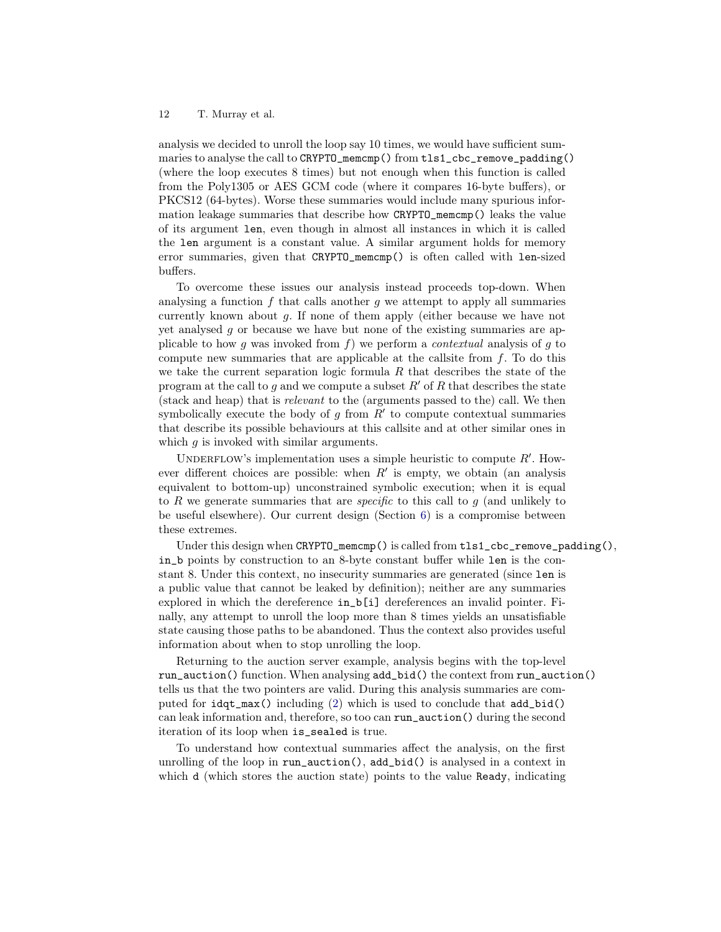analysis we decided to unroll the loop say 10 times, we would have sufficient summaries to analyse the call to CRYPTO\_memcmp() from tls1\_cbc\_remove\_padding() (where the loop executes 8 times) but not enough when this function is called from the Poly1305 or AES GCM code (where it compares 16-byte buffers), or PKCS12 (64-bytes). Worse these summaries would include many spurious information leakage summaries that describe how CRYPTO\_memcmp() leaks the value of its argument len, even though in almost all instances in which it is called the len argument is a constant value. A similar argument holds for memory error summaries, given that CRYPTO\_memcmp() is often called with len-sized buffers.

To overcome these issues our analysis instead proceeds top-down. When analysing a function  $f$  that calls another  $q$  we attempt to apply all summaries currently known about g. If none of them apply (either because we have not yet analysed g or because we have but none of the existing summaries are applicable to how g was invoked from f) we perform a *contextual* analysis of g to compute new summaries that are applicable at the callsite from  $f$ . To do this we take the current separation logic formula  $R$  that describes the state of the program at the call to g and we compute a subset  $R'$  of R that describes the state (stack and heap) that is relevant to the (arguments passed to the) call. We then symbolically execute the body of  $g$  from  $R'$  to compute contextual summaries that describe its possible behaviours at this callsite and at other similar ones in which  $q$  is invoked with similar arguments.

UNDERFLOW's implementation uses a simple heuristic to compute  $R'$ . However different choices are possible: when  $R'$  is empty, we obtain (an analysis equivalent to bottom-up) unconstrained symbolic execution; when it is equal to R we generate summaries that are *specific* to this call to q (and unlikely to be useful elsewhere). Our current design (Section [6\)](#page-26-0) is a compromise between these extremes.

Under this design when  $CRYPTO\_memcmp()$  is called from  $tls1_cbc\_remove\_padding()$ , in\_b points by construction to an 8-byte constant buffer while len is the constant 8. Under this context, no insecurity summaries are generated (since len is a public value that cannot be leaked by definition); neither are any summaries explored in which the dereference in\_b[i] dereferences an invalid pointer. Finally, any attempt to unroll the loop more than 8 times yields an unsatisfiable state causing those paths to be abandoned. Thus the context also provides useful information about when to stop unrolling the loop.

Returning to the auction server example, analysis begins with the top-level run\_auction() function. When analysing add\_bid() the context from run\_auction() tells us that the two pointers are valid. During this analysis summaries are computed for idqt\_max() including [\(2\)](#page-7-0) which is used to conclude that add\_bid() can leak information and, therefore, so too can run\_auction() during the second iteration of its loop when is\_sealed is true.

To understand how contextual summaries affect the analysis, on the first unrolling of the loop in run\_auction(), add\_bid() is analysed in a context in which d (which stores the auction state) points to the value Ready, indicating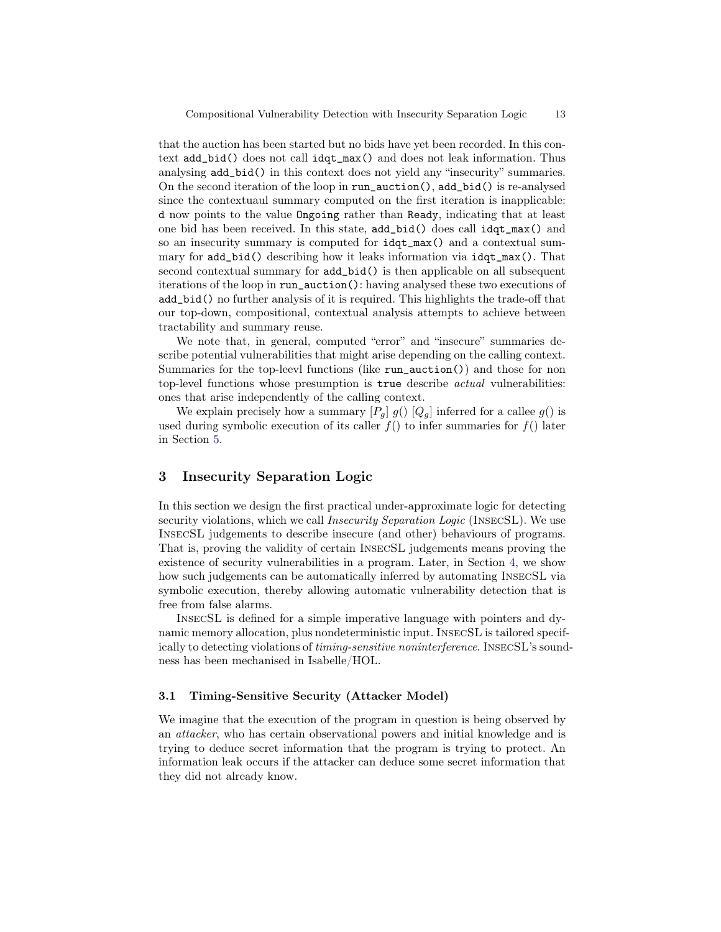that the auction has been started but no bids have yet been recorded. In this context add\_bid() does not call idqt\_max() and does not leak information. Thus analysing add\_bid() in this context does not yield any "insecurity" summaries. On the second iteration of the loop in run\_auction(), add\_bid() is re-analysed since the contextuaul summary computed on the first iteration is inapplicable: d now points to the value Ongoing rather than Ready, indicating that at least one bid has been received. In this state, add\_bid() does call idqt\_max() and so an insecurity summary is computed for idqt\_max() and a contextual summary for add\_bid() describing how it leaks information via idqt\_max(). That second contextual summary for add\_bid() is then applicable on all subsequent iterations of the loop in run\_auction(): having analysed these two executions of add\_bid() no further analysis of it is required. This highlights the trade-off that our top-down, compositional, contextual analysis attempts to achieve between tractability and summary reuse.

We note that, in general, computed "error" and "insecure" summaries describe potential vulnerabilities that might arise depending on the calling context. Summaries for the top-leevl functions (like run\_auction()) and those for non top-level functions whose presumption is true describe actual vulnerabilities: ones that arise independently of the calling context.

We explain precisely how a summary  $[P_g]$  g()  $[Q_g]$  inferred for a callee g() is used during symbolic execution of its caller  $f()$  to infer summaries for  $f()$  later in Section [5.](#page-25-1)

# <span id="page-12-1"></span>3 Insecurity Separation Logic

In this section we design the first practical under-approximate logic for detecting security violations, which we call *Insecurity Separation Logic* (INSECSL). We use InsecSL judgements to describe insecure (and other) behaviours of programs. That is, proving the validity of certain InsecSL judgements means proving the existence of security vulnerabilities in a program. Later, in Section [4,](#page-22-0) we show how such judgements can be automatically inferred by automating InsecSL via symbolic execution, thereby allowing automatic vulnerability detection that is free from false alarms.

InsecSL is defined for a simple imperative language with pointers and dynamic memory allocation, plus nondeterministic input. InsecSL is tailored specifically to detecting violations of timing-sensitive noninterference. InsecSL's soundness has been mechanised in Isabelle/HOL.

# <span id="page-12-0"></span>3.1 Timing-Sensitive Security (Attacker Model)

We imagine that the execution of the program in question is being observed by an attacker, who has certain observational powers and initial knowledge and is trying to deduce secret information that the program is trying to protect. An information leak occurs if the attacker can deduce some secret information that they did not already know.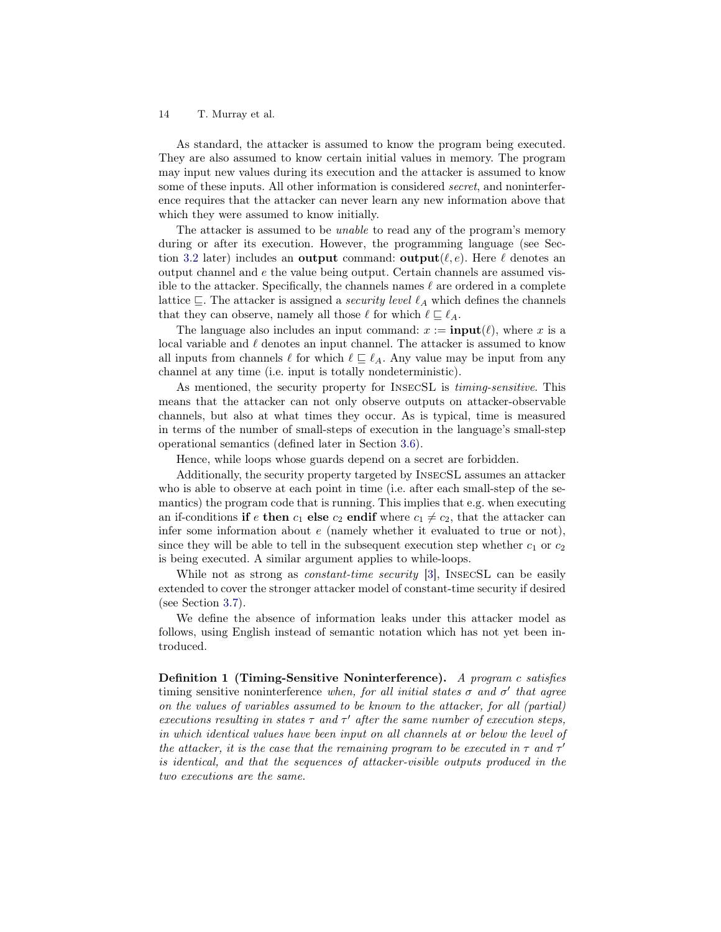As standard, the attacker is assumed to know the program being executed. They are also assumed to know certain initial values in memory. The program may input new values during its execution and the attacker is assumed to know some of these inputs. All other information is considered secret, and noninterference requires that the attacker can never learn any new information above that which they were assumed to know initially.

The attacker is assumed to be *unable* to read any of the program's memory during or after its execution. However, the programming language (see Sec-tion [3.2](#page-14-0) later) includes an output command: output $(\ell, e)$ . Here  $\ell$  denotes an output channel and e the value being output. Certain channels are assumed visible to the attacker. Specifically, the channels names  $\ell$  are ordered in a complete lattice  $\subseteq$ . The attacker is assigned a *security level*  $\ell_A$  which defines the channels that they can observe, namely all those  $\ell$  for which  $\ell \sqsubseteq \ell_A$ .

The language also includes an input command:  $x := \text{input}(\ell)$ , where x is a local variable and  $\ell$  denotes an input channel. The attacker is assumed to know all inputs from channels  $\ell$  for which  $\ell \subseteq \ell_A$ . Any value may be input from any channel at any time (i.e. input is totally nondeterministic).

As mentioned, the security property for InsecSL is timing-sensitive. This means that the attacker can not only observe outputs on attacker-observable channels, but also at what times they occur. As is typical, time is measured in terms of the number of small-steps of execution in the language's small-step operational semantics (defined later in Section [3.6\)](#page-16-0).

Hence, while loops whose guards depend on a secret are forbidden.

Additionally, the security property targeted by InsecSL assumes an attacker who is able to observe at each point in time (i.e. after each small-step of the semantics) the program code that is running. This implies that e.g. when executing an if-conditions if e then  $c_1$  else  $c_2$  endif where  $c_1 \neq c_2$ , that the attacker can infer some information about  $e$  (namely whether it evaluated to true or not), since they will be able to tell in the subsequent execution step whether  $c_1$  or  $c_2$ is being executed. A similar argument applies to while-loops.

While not as strong as *constant-time security* [\[3\]](#page-30-17). INSECSL can be easily extended to cover the stronger attacker model of constant-time security if desired (see Section [3.7\)](#page-22-1).

We define the absence of information leaks under this attacker model as follows, using English instead of semantic notation which has not yet been introduced.

<span id="page-13-0"></span>Definition 1 (Timing-Sensitive Noninterference). A program c satisfies timing sensitive noninterference when, for all initial states  $\sigma$  and  $\sigma'$  that agree on the values of variables assumed to be known to the attacker, for all (partial) executions resulting in states  $\tau$  and  $\tau'$  after the same number of execution steps, in which identical values have been input on all channels at or below the level of the attacker, it is the case that the remaining program to be executed in  $\tau$  and  $\tau'$ is identical, and that the sequences of attacker-visible outputs produced in the two executions are the same.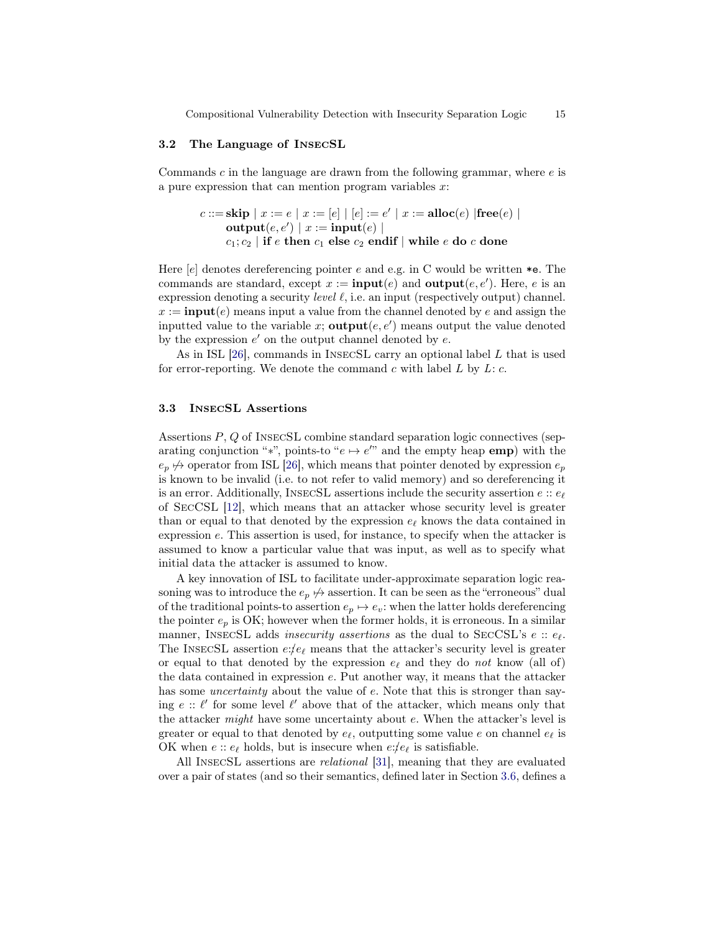Compositional Vulnerability Detection with Insecurity Separation Logic 15

## <span id="page-14-0"></span>3.2 The Language of InsecSL

Commands  $c$  in the language are drawn from the following grammar, where  $e$  is a pure expression that can mention program variables  $x$ :

$$
c ::= \mathbf{skip} \mid x := e \mid x := [e] \mid [e] := e' \mid x := \mathbf{alloc}(e) \mid \mathbf{free}(e) \mid
$$
  
output $(e, e') \mid x := \mathbf{input}(e) \mid$   
 $c_1; c_2 \mid \mathbf{if} \mid e$  then  $c_1$  else  $c_2$  endif  $\mid$  while  $e$  do  $c$  done

Here  $[e]$  denotes dereferencing pointer e and e.g. in C would be written  $*e$ . The commands are standard, except  $x := \text{input}(e)$  and  $\text{output}(e, e')$ . Here, e is an expression denoting a security *level*  $\ell$ , i.e. an input (respectively output) channel.  $x := \text{input}(e)$  means input a value from the channel denoted by e and assign the inputted value to the variable x;  $output(e, e')$  means output the value denoted by the expression  $e'$  on the output channel denoted by  $e$ .

As in ISL [\[26\]](#page-31-1), commands in InsecSL carry an optional label L that is used for error-reporting. We denote the command  $c$  with label  $L$  by  $L: c$ .

# 3.3 InsecSL Assertions

Assertions P, Q of InsecSL combine standard separation logic connectives (separating conjunction "\*", points-to " $e \mapsto e''$ " and the empty heap **emp**) with the  $e_p \nleftrightarrow$  operator from ISL [\[26\]](#page-31-1), which means that pointer denoted by expression  $e_p$ is known to be invalid (i.e. to not refer to valid memory) and so dereferencing it is an error. Additionally, INSECSL assertions include the security assertion  $e$ :  $e<sub>f</sub>$ of SecCSL [\[12\]](#page-30-7), which means that an attacker whose security level is greater than or equal to that denoted by the expression  $e_{\ell}$  knows the data contained in expression e. This assertion is used, for instance, to specify when the attacker is assumed to know a particular value that was input, as well as to specify what initial data the attacker is assumed to know.

A key innovation of ISL to facilitate under-approximate separation logic reasoning was to introduce the  $e_p \nleftrightarrow$  assertion. It can be seen as the "erroneous" dual of the traditional points-to assertion  $e_p \mapsto e_v$ : when the latter holds dereferencing the pointer  $e_p$  is OK; however when the former holds, it is erroneous. In a similar manner, INSECSL adds *insecurity assertions* as the dual to SECCSL's  $e :: e_{\ell}$ . The INSECSL assertion  $e:\!e_{\ell}$  means that the attacker's security level is greater or equal to that denoted by the expression  $e_{\ell}$  and they do not know (all of) the data contained in expression e. Put another way, it means that the attacker has some *uncertainty* about the value of e. Note that this is stronger than saying  $e$  ::  $\ell'$  for some level  $\ell'$  above that of the attacker, which means only that the attacker *might* have some uncertainty about  $e$ . When the attacker's level is greater or equal to that denoted by  $e_{\ell}$ , outputting some value e on channel  $e_{\ell}$  is OK when  $e$ ::  $e_{\ell}$  holds, but is insecure when  $e$ :/ $e_{\ell}$  is satisfiable.

All InsecSL assertions are relational [\[31\]](#page-31-12), meaning that they are evaluated over a pair of states (and so their semantics, defined later in Section [3.6,](#page-18-0) defines a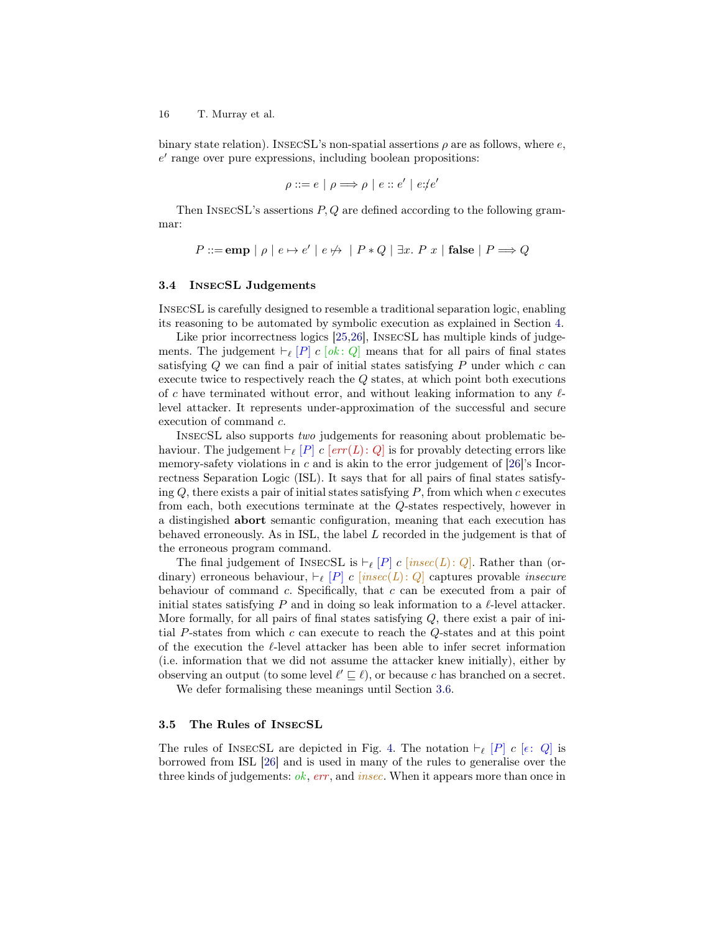binary state relation). INSECSL's non-spatial assertions  $\rho$  are as follows, where  $e$ ,  $e'$  range over pure expressions, including boolean propositions:

$$
\rho ::= e \mid \rho \Longrightarrow \rho \mid e :: e' \mid e : e'
$$

Then InsecSL's assertions P, Q are defined according to the following grammar:

$$
P ::= \textbf{emp} | \rho | e \mapsto e' | e \nleftrightarrow | P * Q | \exists x. P x | \textbf{false} | P \Longrightarrow Q
$$

## 3.4 InsecSL Judgements

InsecSL is carefully designed to resemble a traditional separation logic, enabling its reasoning to be automated by symbolic execution as explained in Section [4.](#page-22-0)

Like prior incorrectness logics [\[25,](#page-31-11)[26\]](#page-31-1), InsecSL has multiple kinds of judgements. The judgement  $\vdash_{\ell} [P]$  c  $[ok: Q]$  means that for all pairs of final states satisfying  $Q$  we can find a pair of initial states satisfying  $P$  under which  $c$  can execute twice to respectively reach the Q states, at which point both executions of c have terminated without error, and without leaking information to any  $\ell$ level attacker. It represents under-approximation of the successful and secure execution of command c.

InsecSL also supports two judgements for reasoning about problematic behaviour. The judgement  $\vdash_{\ell} [P]$  c  $\lbrack err(L): Q \rbrack$  is for provably detecting errors like memory-safety violations in  $c$  and is akin to the error judgement of [\[26\]](#page-31-1)'s Incorrectness Separation Logic (ISL). It says that for all pairs of final states satisfying  $Q$ , there exists a pair of initial states satisfying  $P$ , from which when  $c$  executes from each, both executions terminate at the Q-states respectively, however in a distingished abort semantic configuration, meaning that each execution has behaved erroneously. As in ISL, the label L recorded in the judgement is that of the erroneous program command.

The final judgement of INSECSL is  $\vdash_{\ell} [P]$  c [insec(L): Q]. Rather than (ordinary) erroneous behaviour,  $\vdash_{\ell} [P]$  c [insec(L): Q] captures provable insecure behaviour of command  $c$ . Specifically, that  $c$  can be executed from a pair of initial states satisfying P and in doing so leak information to a  $\ell$ -level attacker. More formally, for all pairs of final states satisfying  $Q$ , there exist a pair of initial P-states from which  $c$  can execute to reach the  $Q$ -states and at this point of the execution the  $\ell$ -level attacker has been able to infer secret information (i.e. information that we did not assume the attacker knew initially), either by observing an output (to some level  $\ell' \sqsubseteq \ell$ ), or because c has branched on a secret.

We defer formalising these meanings until Section [3.6.](#page-16-1)

## 3.5 The Rules of InsecSL

The rules of INSECSL are depicted in Fig. [4.](#page-17-0) The notation  $\vdash_{\ell} [P]$  c  $[\epsilon: Q]$  is borrowed from ISL [\[26\]](#page-31-1) and is used in many of the rules to generalise over the three kinds of judgements:  $ok$ ,  $err$ , and  $insec$ . When it appears more than once in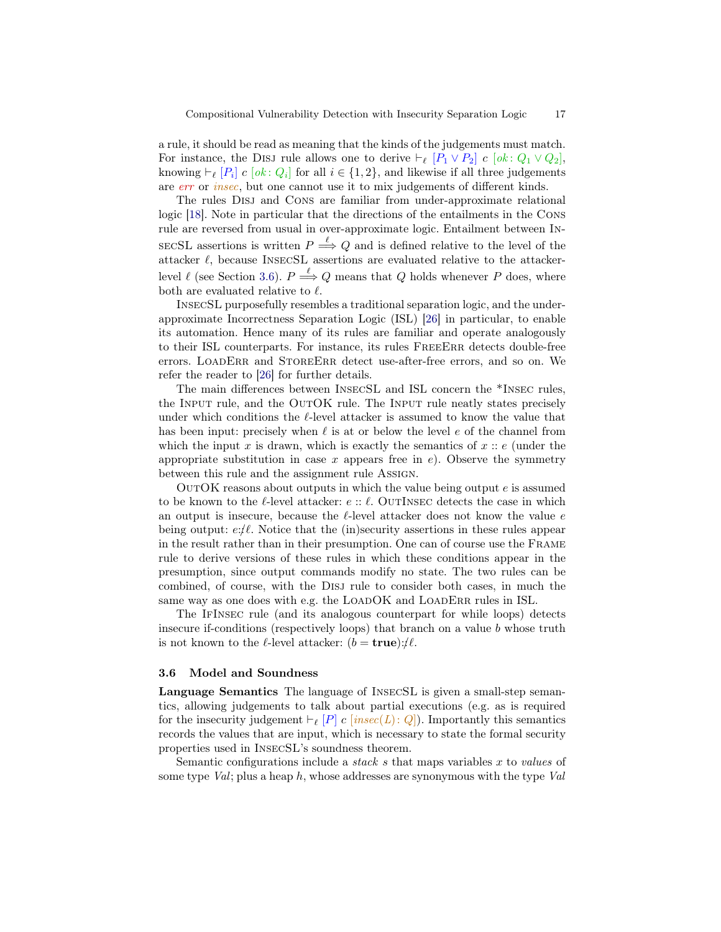a rule, it should be read as meaning that the kinds of the judgements must match. For instance, the DISJ rule allows one to derive  $\vdash_{\ell} [P_1 \vee P_2]$  c  $[ok : Q_1 \vee Q_2]$ , knowing  $\vdash_{\ell} [P_i]$  c  $[ok: Q_i]$  for all  $i \in \{1, 2\}$ , and likewise if all three judgements are err or insec, but one cannot use it to mix judgements of different kinds.

The rules Disj and Cons are familiar from under-approximate relational logic [\[18\]](#page-30-10). Note in particular that the directions of the entailments in the Cons rule are reversed from usual in over-approximate logic. Entailment between In-SECSL assertions is written  $P \stackrel{\ell}{\Longrightarrow} Q$  and is defined relative to the level of the attacker  $\ell$ , because INSECSL assertions are evaluated relative to the attackerlevel  $\ell$  (see Section [3.6\)](#page-18-0).  $P \stackrel{\ell}{\Longrightarrow} Q$  means that Q holds whenever P does, where both are evaluated relative to  $\ell$ .

InsecSL purposefully resembles a traditional separation logic, and the underapproximate Incorrectness Separation Logic (ISL) [\[26\]](#page-31-1) in particular, to enable its automation. Hence many of its rules are familiar and operate analogously to their ISL counterparts. For instance, its rules FreeErr detects double-free errors. LOADERR and STOREERR detect use-after-free errors, and so on. We refer the reader to [\[26\]](#page-31-1) for further details.

The main differences between InsecSL and ISL concern the \*Insec rules, the INPUT rule, and the OUTOK rule. The INPUT rule neatly states precisely under which conditions the  $\ell$ -level attacker is assumed to know the value that has been input: precisely when  $\ell$  is at or below the level e of the channel from which the input x is drawn, which is exactly the semantics of  $x :: e$  (under the appropriate substitution in case x appears free in  $e$ ). Observe the symmetry between this rule and the assignment rule Assign.

OutOK reasons about outputs in which the value being output e is assumed to be known to the  $\ell$ -level attacker:  $e :: \ell$ . OUTINSEC detects the case in which an output is insecure, because the  $\ell$ -level attacker does not know the value  $\epsilon$ being output:  $e:\ell$ . Notice that the (in)security assertions in these rules appear in the result rather than in their presumption. One can of course use the Frame rule to derive versions of these rules in which these conditions appear in the presumption, since output commands modify no state. The two rules can be combined, of course, with the Disj rule to consider both cases, in much the same way as one does with e.g. the LOADOK and LOADERR rules in ISL.

The IfInsec rule (and its analogous counterpart for while loops) detects insecure if-conditions (respectively loops) that branch on a value  $b$  whose truth is not known to the  $\ell$ -level attacker:  $(b = true):/\ell$ .

#### <span id="page-16-1"></span>3.6 Model and Soundness

<span id="page-16-0"></span>Language Semantics The language of InsecSL is given a small-step semantics, allowing judgements to talk about partial executions (e.g. as is required for the insecurity judgement  $\vdash_{\ell} [P]$  c [insec(L): Q]). Importantly this semantics records the values that are input, which is necessary to state the formal security properties used in InsecSL's soundness theorem.

Semantic configurations include a *stack s* that maps variables  $x$  to *values* of some type  $Val$ ; plus a heap h, whose addresses are synonymous with the type  $Val$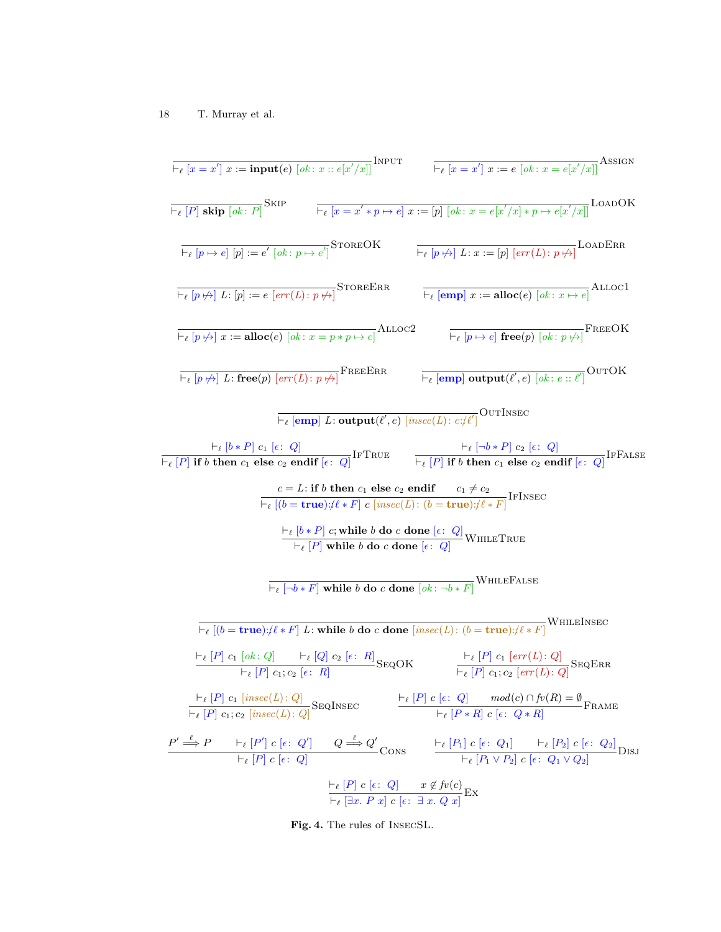$$
\frac{1}{\Gamma_{\ell}}\left[x = x'\right] x := \mathbf{input}(e) \left[ok : x :: e[x'/x]\right] \text{NPUT}
$$
\n
$$
\frac{1}{\Gamma_{\ell}}\left[x = x'\right] x := e \left[ok : x = e[x'/x]\right] \text{Asson}
$$
\n
$$
\frac{1}{\Gamma_{\ell}}\left[P\right] \text{ skip } \left[ok : P\right] \text{SHP}
$$
\n
$$
\frac{1}{\Gamma_{\ell}}\left[x = x' * p \mapsto e\right] x := \left[p\right] \left[ok : x = e[x'/x] * p \mapsto e[x'/x]\right] \text{LOADOK}
$$
\n
$$
\frac{1}{\Gamma_{\ell}}\left[p \mapsto e\right] \left[p\right] := e' \left[ok : p \mapsto e'\right] \text{STORER R}
$$
\n
$$
\frac{1}{\Gamma_{\ell}}\left[p \mapsto e\right] L : \mathbf{p} := \mathbf{else} \left[ck : p \mapsto e'\right] \text{STORER R}
$$
\n
$$
\frac{1}{\Gamma_{\ell}}\left[p \mapsto e\right] L : \mathbf{p} := \mathbf{alloc}(e) \left[ok : x = p * p \mapsto e\right] \text{ALLOC2}
$$
\n
$$
\frac{1}{\Gamma_{\ell}}\left[p \mapsto e\right] \text{free}(p) \left[ok : e : x'|e\right] \text{ALLOC1}
$$
\n
$$
\frac{1}{\Gamma_{\ell}}\left[p \mapsto e\right] \text{Area}(p) \left[ok : e : x'|e\right] \text{OLUC1}
$$
\n
$$
\frac{1}{\Gamma_{\ell}}\left[p \mapsto e\right] \text{Area}(p) \left[ok : e : x'|e\right] \text{OLUC1}
$$
\n
$$
\frac{1}{\Gamma_{\ell}}\left[p \mapsto e\right] \text{Area}(p) \left[ck : e : x'|e\right] \text{OLUC1}
$$
\n
$$
\frac{1}{\Gamma_{\ell}}\left[p \mapsto e\right] \text{Area}(p) \left[ck : e : x'|e\right] \text{OLUC1}
$$
\n
$$
\frac{1}{\Gamma_{\ell}}\left[p \mapsto e\right] \text{Area}(p) \left[ck : e : x'|e\right] \text{OLUC1}
$$
\n $$ 

<span id="page-17-0"></span>Fig. 4. The rules of InsecSL.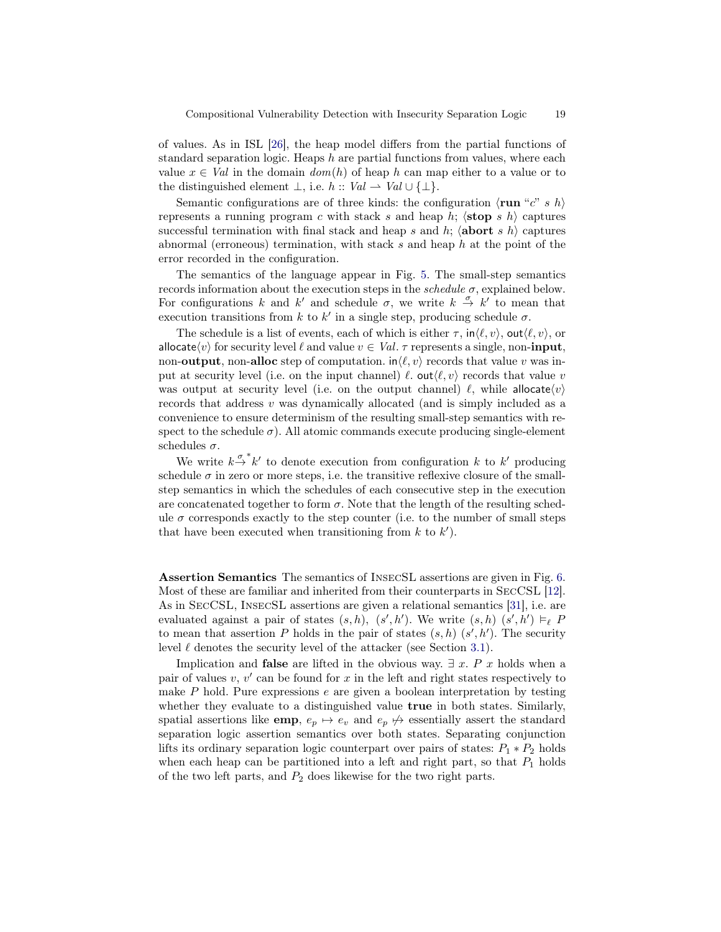of values. As in ISL [\[26\]](#page-31-1), the heap model differs from the partial functions of standard separation logic. Heaps  $h$  are partial functions from values, where each value  $x \in Val$  in the domain  $dom(h)$  of heap h can map either to a value or to the distinguished element  $\bot$ , i.e.  $h :: Val \rightharpoonup Val \cup \{\bot\}.$ 

Semantic configurations are of three kinds: the configuration  $\langle \mathbf{run}^{\mu}c^{\nu} s \, h \rangle$ represents a running program c with stack s and heap h;  $\langle$ stop s h $\rangle$  captures successful termination with final stack and heap s and h;  $\langle \textbf{abort} \, s \, h \rangle$  captures abnormal (erroneous) termination, with stack s and heap  $h$  at the point of the error recorded in the configuration.

The semantics of the language appear in Fig. [5.](#page-19-0) The small-step semantics records information about the execution steps in the *schedule*  $\sigma$ , explained below. For configurations k and k' and schedule  $\sigma$ , we write  $k \stackrel{\sigma}{\to} k'$  to mean that execution transitions from k to k' in a single step, producing schedule  $\sigma$ .

The schedule is a list of events, each of which is either  $\tau$ ,  $\text{in}\langle \ell, v \rangle$ , out $\langle \ell, v \rangle$ , or allocate $\langle v \rangle$  for security level  $\ell$  and value  $v \in Val$ .  $\tau$  represents a single, non-input, non-output, non-alloc step of computation.  $\ln \langle \ell, v \rangle$  records that value v was input at security level (i.e. on the input channel)  $\ell$ . out $\langle \ell, v \rangle$  records that value v was output at security level (i.e. on the output channel)  $\ell$ , while allocate $\langle v \rangle$ records that address v was dynamically allocated (and is simply included as a convenience to ensure determinism of the resulting small-step semantics with respect to the schedule  $\sigma$ ). All atomic commands execute producing single-element schedules  $\sigma$ .

We write  $k \stackrel{\sigma^*}{\rightarrow} k'$  to denote execution from configuration k to k' producing schedule  $\sigma$  in zero or more steps, i.e. the transitive reflexive closure of the smallstep semantics in which the schedules of each consecutive step in the execution are concatenated together to form  $\sigma$ . Note that the length of the resulting schedule  $\sigma$  corresponds exactly to the step counter (i.e. to the number of small steps that have been executed when transitioning from  $k$  to  $k'$ ).

<span id="page-18-0"></span>Assertion Semantics The semantics of InsecSL assertions are given in Fig. [6.](#page-20-0) Most of these are familiar and inherited from their counterparts in SecCSL [\[12\]](#page-30-7). As in SecCSL, InsecSL assertions are given a relational semantics [\[31\]](#page-31-12), i.e. are evaluated against a pair of states  $(s, h)$ ,  $(s', h')$ . We write  $(s, h)$   $(s', h') \models_{\ell} P$ to mean that assertion P holds in the pair of states  $(s, h)$   $(s', h')$ . The security level  $\ell$  denotes the security level of the attacker (see Section [3.1\)](#page-12-0).

Implication and **false** are lifted in the obvious way.  $\exists x \in P$  x holds when a pair of values  $v, v'$  can be found for  $x$  in the left and right states respectively to make  $P$  hold. Pure expressions  $e$  are given a boolean interpretation by testing whether they evaluate to a distinguished value **true** in both states. Similarly, spatial assertions like **emp**,  $e_p \mapsto e_v$  and  $e_p \nleftrightarrow$  essentially assert the standard separation logic assertion semantics over both states. Separating conjunction lifts its ordinary separation logic counterpart over pairs of states:  $P_1 * P_2$  holds when each heap can be partitioned into a left and right part, so that  $P_1$  holds of the two left parts, and  $P_2$  does likewise for the two right parts.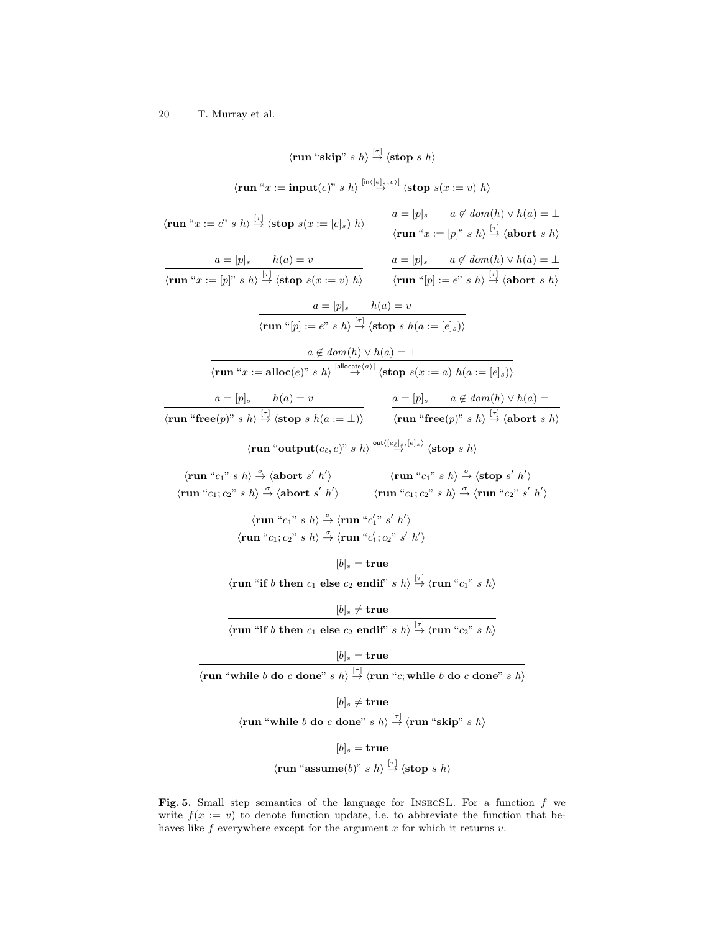(run "skip" s k) 
$$
\frac{[r]}{2}
$$
 (stop s h)  
\n(run "x := input(e)" s h)  $\frac{\ln((e|_{x}e)^{n})}{2}$  (stop s(x := v) h)  
\n(run "x := e" s h)  $\frac{[r]}{2}$  (stop s(x := [e]s) h)  
\n $\frac{a = [p]_{s}}{r}$  a ∉ dom(h) ∨ h(a) = ⊥  
\n(run "x := [p]" s h)  $\frac{[r]}{2}$  (stop s(x := [e]s) h)  
\n $\frac{a = [p]_{s}}{r}$  a ∉ dom(h) ∨ h(a) = ⊥  
\n(run "x := [p]" s h)  $\frac{[r]}{2}$  (stop s(x := v) h)  
\n $\frac{a = [p]_{s}}{r}$  h(a) = v  
\n(run "p] := e" s h)  $\frac{[r]}{r}$  (stop s h(a := [e]s))  
\n $\frac{a \notin dom(h) ∨ h(a) = ⊥}{r$   
\n(run "x := alloc(e)" s h)  $\frac{[a \log a e^{a}}{2}$  (stop s(a := a) h(a := [e]s))  
\n $\frac{a = [p]_{s}}{r}$  h(a) = v  
\n $\frac{a = [p]_{s}}{r}$  h(a) = v  
\n $\frac{a \notin dom(h) ∨ h(a) = ⊥}{r$   
\n(run "free(p)" s h)  $\frac{[a \log a e^{a}}{2}$  (stop s s t) (stop s (x := a) h(a := [e]s))  
\n(run "free(p)" s h)  $\frac{a = [p]_{s}}{r}$  a ∉ dom(h) ∨ h(a) = ⊥  
\n(run "free(p)" s h)  $\frac{a}{r}$  (stop s h)  
\n(run "true'; s h)  $\frac{a}{r}$  (short s' h')  
\n(run "c<sub>1</sub>; c<sub>2</sub>" s h)  $\frac{a}{r}$  (run "c<sub>1</sub>; c<sub>2</sub>" s h)  $\frac{a}{r}$  (stop s h)  
\n(run "c<sub>1</sub>; c<sub>2</sub>" s h)  $\frac{a}{r}$  (run "c<sub>1</sub>; c<sub>2</sub>

<span id="page-19-0"></span>Fig. 5. Small step semantics of the language for INSECSL. For a function  $f$  we write  $f(x := v)$  to denote function update, i.e. to abbreviate the function that behaves like  $f$  everywhere except for the argument  $x$  for which it returns  $v$ .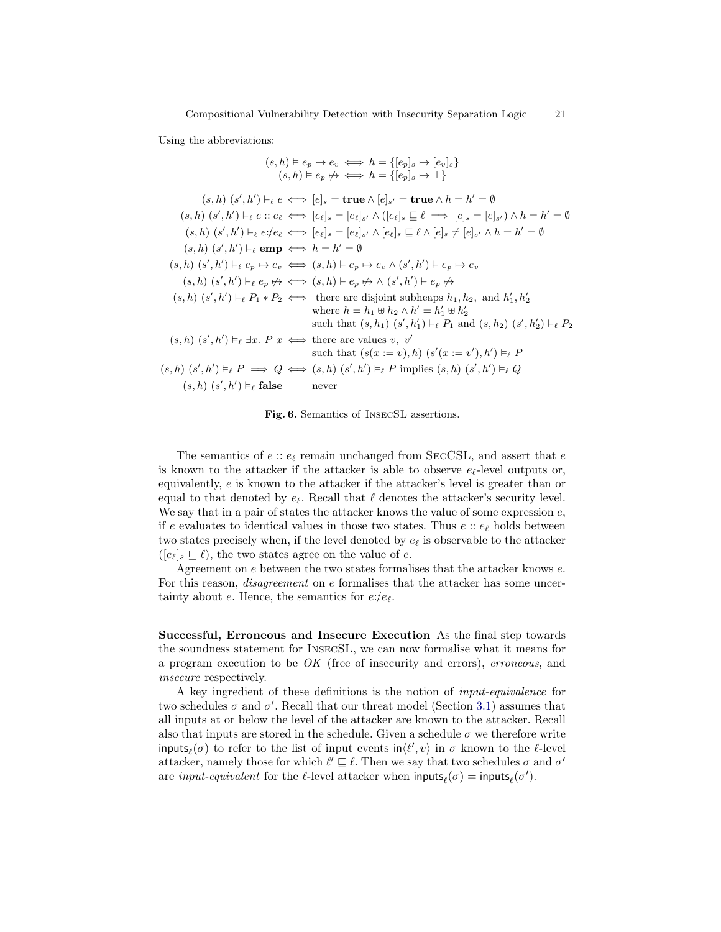Using the abbreviations:

$$
(s, h) \vDash e_p \mapsto e_v \iff h = \{[e_p]_s \mapsto [e_v]_s\}
$$

$$
(s, h) (s', h') \vDash_{\ell} e \iff [e]_s = \text{true} \land [e]_{s'} = \text{true} \land h = h' = \emptyset
$$

$$
(s, h) (s', h') \vDash_{\ell} e \iff [e]_s = \text{true} \land [e]_{s'} = \text{true} \land h = h' = \emptyset
$$

$$
(s, h) (s', h') \vDash_{\ell} e : e \iff [e_{\ell}]_s = [e_{\ell}]_{s'} \land ([e_{\ell}]_s \sqsubseteq \ell \implies [e]_{s'} \land h = h' = \emptyset
$$

$$
(s, h) (s', h') \vDash_{\ell} e : e \iff [e_{\ell}]_s = [e_{\ell}]_{s'} \land [e_{\ell}]_s \sqsubseteq \ell \land [e]_s \neq [e]_{s'} \land h = h' = \emptyset
$$

$$
(s, h) (s', h') \vDash_{\ell} \text{emp} \iff h = h' = \emptyset
$$

$$
(s, h) (s', h') \vDash_{\ell} \text{emp} \iff (s, h) \vDash e_p \leftrightarrow e_v \land (s', h') \vDash e_p \leftrightarrow e_v
$$

$$
(s, h) (s', h') \vDash_{\ell} e_p \not \iff (s, h) \vDash e_p \not \Rightarrow \land (s', h') \vDash e_p \not \Rightarrow
$$

$$
(s, h) (s', h') \vDash_{\ell} P_1 * P_2 \iff \text{there are disjoint subheaps } h_1, h_2, \text{ and } h'_1, h'_2
$$

$$
\text{where } h = h_1 \uplus h_2 \land h' = h'_1 \uplus h'_2
$$

$$
\text{such that } (s, h_1) (s', h'_1) \vDash_{\ell} P_1 \text{ and } (s, h_2) (s', h'_2) \vDash_{\ell} P_2
$$

$$
(s, h) (s', h') \vDash_{\ell} \exists x. P \ x \iff \text{there are values } v, v'
$$

$$
\text{such that } (s(x := v), h) (s'(x := v'), h') \vDash_{\ell} P
$$

$$
(s, h) (s', h') \vDash_{\ell
$$

<span id="page-20-0"></span>Fig. 6. Semantics of InsecSL assertions.

The semantics of  $e$ :  $e_{\ell}$  remain unchanged from SECCSL, and assert that  $e$ is known to the attacker if the attacker is able to observe  $e_{\ell}$ -level outputs or, equivalently, e is known to the attacker if the attacker's level is greater than or equal to that denoted by  $e_{\ell}$ . Recall that  $\ell$  denotes the attacker's security level. We say that in a pair of states the attacker knows the value of some expression  $e$ , if e evaluates to identical values in those two states. Thus  $e$ :  $e_{\ell}$  holds between two states precisely when, if the level denoted by  $e_{\ell}$  is observable to the attacker  $([e_{\ell}]_s \sqsubseteq \ell)$ , the two states agree on the value of e.

Agreement on e between the two states formalises that the attacker knows e. For this reason, *disagreement* on e formalises that the attacker has some uncertainty about e. Hence, the semantics for  $e: e_{\ell}$ .

Successful, Erroneous and Insecure Execution As the final step towards the soundness statement for InsecSL, we can now formalise what it means for a program execution to be OK (free of insecurity and errors), erroneous, and insecure respectively.

A key ingredient of these definitions is the notion of input-equivalence for two schedules  $\sigma$  and  $\sigma'$ . Recall that our threat model (Section [3.1\)](#page-12-0) assumes that all inputs at or below the level of the attacker are known to the attacker. Recall also that inputs are stored in the schedule. Given a schedule  $\sigma$  we therefore write inputs $_\ell(\sigma)$  to refer to the list of input events in $\langle \ell',v\rangle$  in  $\sigma$  known to the  $\ell$ -level attacker, namely those for which  $\ell' \sqsubseteq \ell$ . Then we say that two schedules  $\sigma$  and  $\sigma'$ are *input-equivalent* for the  $\ell$ -level attacker when  $\text{inputs}_{\ell}(\sigma) = \text{inputs}_{\ell}(\sigma').$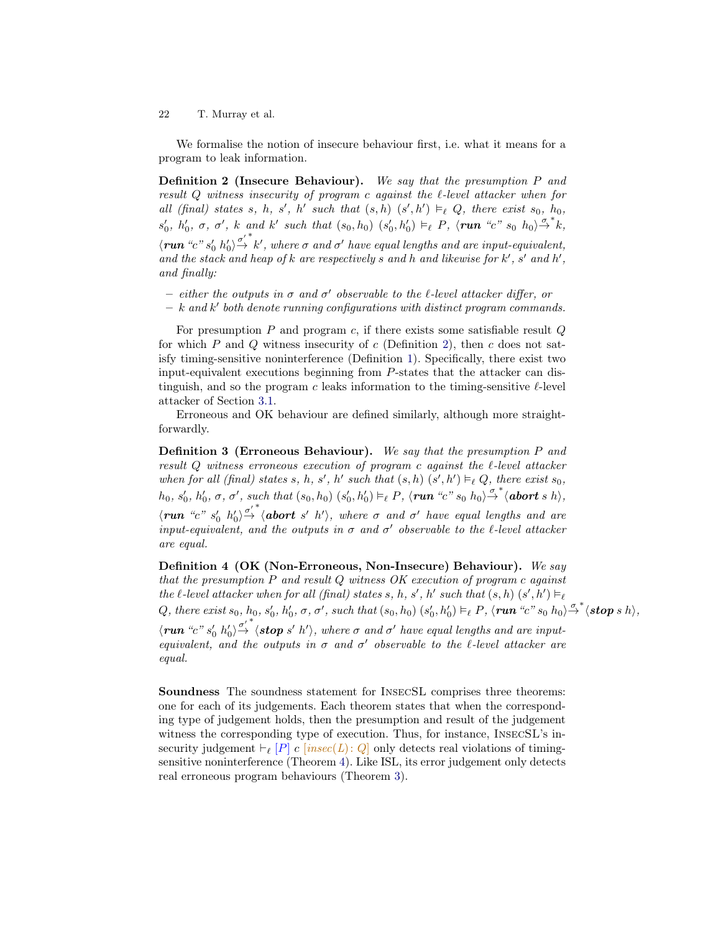We formalise the notion of insecure behaviour first, i.e. what it means for a program to leak information.

<span id="page-21-0"></span>Definition 2 (Insecure Behaviour). We say that the presumption P and result  $Q$  witness insecurity of program c against the  $\ell$ -level attacker when for all (final) states s, h, s', h' such that  $(s, h)$   $(s', h') \vDash_{\ell} Q$ , there exist s<sub>0</sub>, h<sub>0</sub>,  $s'_0, h'_0, \sigma, \sigma', k$  and k' such that  $(s_0, h_0)$   $(s'_0, h'_0) \vDash_{\ell} P$ ,  $\langle \textbf{run} \ \text{``c''}\ s_0 \ h_0 \rangle \rightarrow \text{``k''},$  $\langle \mathbf{run}^*c^n s'_0 h'_0 \rangle \overset{\sigma'}{\rightarrow} k'$ , where  $\sigma$  and  $\sigma'$  have equal lengths and are input-equivalent, and the stack and heap of  $k$  are respectively s and h and likewise for  $k'$ ,  $s'$  and  $h'$ , and finally:

- either the outputs in  $\sigma$  and  $\sigma'$  observable to the l-level attacker differ, or
- $k$  and  $k'$  both denote running configurations with distinct program commands.

For presumption  $P$  and program  $c$ , if there exists some satisfiable result  $Q$ for which P and Q witness insecurity of c (Definition [2\)](#page-21-0), then c does not satisfy timing-sensitive noninterference (Definition [1\)](#page-13-0). Specifically, there exist two input-equivalent executions beginning from P-states that the attacker can distinguish, and so the program  $c$  leaks information to the timing-sensitive  $\ell$ -level attacker of Section [3.1.](#page-12-0)

Erroneous and OK behaviour are defined similarly, although more straightforwardly.

<span id="page-21-2"></span>Definition 3 (Erroneous Behaviour). We say that the presumption P and result  $Q$  witness erroneous execution of program c against the  $\ell$ -level attacker when for all (final) states s, h, s', h' such that  $(s, h)$   $(s', h') \vDash_{\ell} Q$ , there exist s<sub>0</sub>,  $h_0, s'_0, h'_0, \sigma, \sigma',$  such that  $(s_0, h_0)$   $(s'_0, h'_0) \vDash_{\ell} P$ ,  $\langle \textit{run "c" s_0 h_0} \rangle \overset{\sigma^*}{\rightarrow} \langle \textit{abort s h} \rangle$ ,  $\langle \text{run} \ \ ^{\alpha}c \ ^{\alpha} s'_{0} \ \ ^{h'_{0}}\rangle \overset{\sigma'}{\rightarrow}^{\ast} \langle \text{abort} \ s' \ \ ^{h'} \rangle,$  where  $\sigma$  and  $\sigma'$  have equal lengths and are input-equivalent, and the outputs in  $\sigma$  and  $\sigma'$  observable to the  $\ell$ -level attacker are equal.

<span id="page-21-1"></span>Definition 4 (OK (Non-Erroneous, Non-Insecure) Behaviour). We say that the presumption  $P$  and result  $Q$  witness  $OK$  execution of program c against the  $\ell$ -level attacker when for all (final) states s, h, s', h' such that  $(s, h)$   $(s', h') \models_{\ell}$ Q, there exist  $s_0$ ,  $h_0$ ,  $s'_0$ ,  $h'_0$ ,  $\sigma$ ,  $\sigma'$ , such that  $(s_0, h_0)$   $(s'_0, h'_0) \vDash_{\ell} P$ ,  $\langle \textbf{run}$  "c"  $s_0$   $h_0 \rangle \stackrel{\sigma^*}{\rightarrow} \langle \textbf{stop} \ s \ h \rangle$ ,  $\langle \text{run "c" s'_0 h'_0 \rangle \overset{\sigma'}{\rightarrow} \langle \text{stop s' h'} \rangle$ , where  $\sigma$  and  $\sigma'$  have equal lengths and are inputequivalent, and the outputs in  $\sigma$  and  $\sigma'$  observable to the  $\ell$ -level attacker are equal.

Soundness The soundness statement for INSECSL comprises three theorems: one for each of its judgements. Each theorem states that when the corresponding type of judgement holds, then the presumption and result of the judgement witness the corresponding type of execution. Thus, for instance, INSECSL's insecurity judgement  $\vdash_{\ell} [P]$  c [insec(L): Q only detects real violations of timingsensitive noninterference (Theorem [4\)](#page-22-2). Like ISL, its error judgement only detects real erroneous program behaviours (Theorem [3\)](#page-22-3).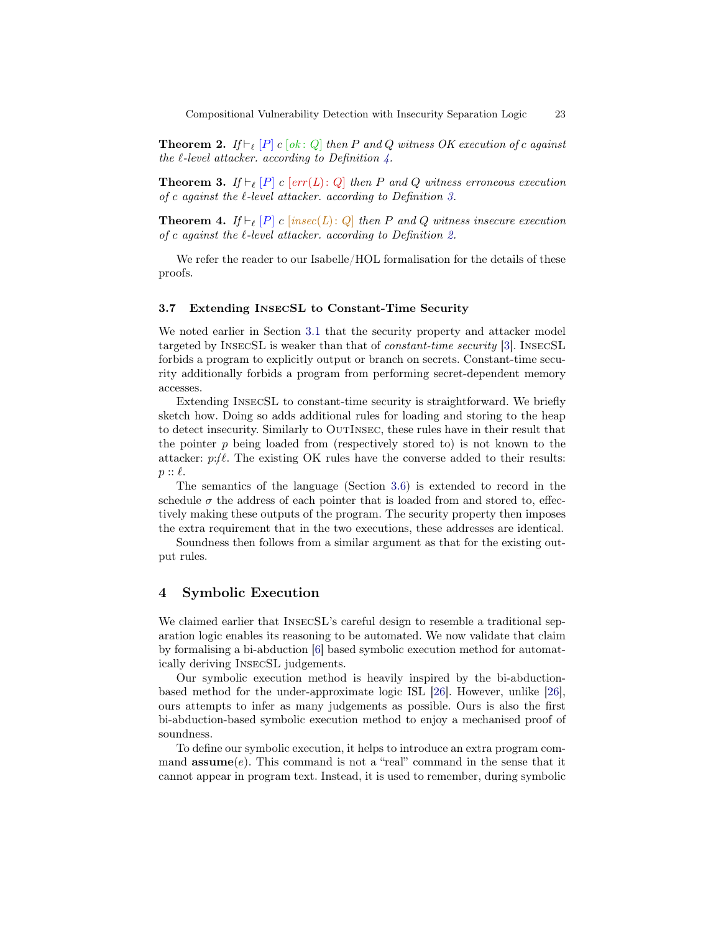**Theorem 2.** If  $\vdash_{\ell} [P]$  c [ok : Q] then P and Q witness OK execution of c against the  $\ell$ -level attacker. according to Definition  $\lambda$ .

<span id="page-22-3"></span>**Theorem 3.** If  $\vdash_{\ell} [P]$  c [err(L): Q] then P and Q witness erroneous execution of c against the  $\ell$ -level attacker. according to Definition [3.](#page-21-2)

<span id="page-22-2"></span>**Theorem 4.** If  $\vdash_{\ell} [P]$  c [insec(L): Q] then P and Q witness insecure execution of c against the  $\ell$ -level attacker. according to Definition [2.](#page-21-0)

We refer the reader to our Isabelle/HOL formalisation for the details of these proofs.

## <span id="page-22-1"></span>3.7 Extending InsecSL to Constant-Time Security

We noted earlier in Section [3.1](#page-12-0) that the security property and attacker model targeted by InsecSL is weaker than that of constant-time security [\[3\]](#page-30-17). InsecSL forbids a program to explicitly output or branch on secrets. Constant-time security additionally forbids a program from performing secret-dependent memory accesses.

Extending InsecSL to constant-time security is straightforward. We briefly sketch how. Doing so adds additional rules for loading and storing to the heap to detect insecurity. Similarly to OutInsec, these rules have in their result that the pointer  $p$  being loaded from (respectively stored to) is not known to the attacker:  $p:\ell$ . The existing OK rules have the converse added to their results:  $p :: \ell$ .

The semantics of the language (Section [3.6\)](#page-16-0) is extended to record in the schedule  $\sigma$  the address of each pointer that is loaded from and stored to, effectively making these outputs of the program. The security property then imposes the extra requirement that in the two executions, these addresses are identical.

Soundness then follows from a similar argument as that for the existing output rules.

# <span id="page-22-0"></span>4 Symbolic Execution

We claimed earlier that INSECSL's careful design to resemble a traditional separation logic enables its reasoning to be automated. We now validate that claim by formalising a bi-abduction [\[6\]](#page-30-16) based symbolic execution method for automatically deriving InsecSL judgements.

Our symbolic execution method is heavily inspired by the bi-abductionbased method for the under-approximate logic ISL [\[26\]](#page-31-1). However, unlike [\[26\]](#page-31-1), ours attempts to infer as many judgements as possible. Ours is also the first bi-abduction-based symbolic execution method to enjoy a mechanised proof of soundness.

To define our symbolic execution, it helps to introduce an extra program command  $assume(e)$ . This command is not a "real" command in the sense that it cannot appear in program text. Instead, it is used to remember, during symbolic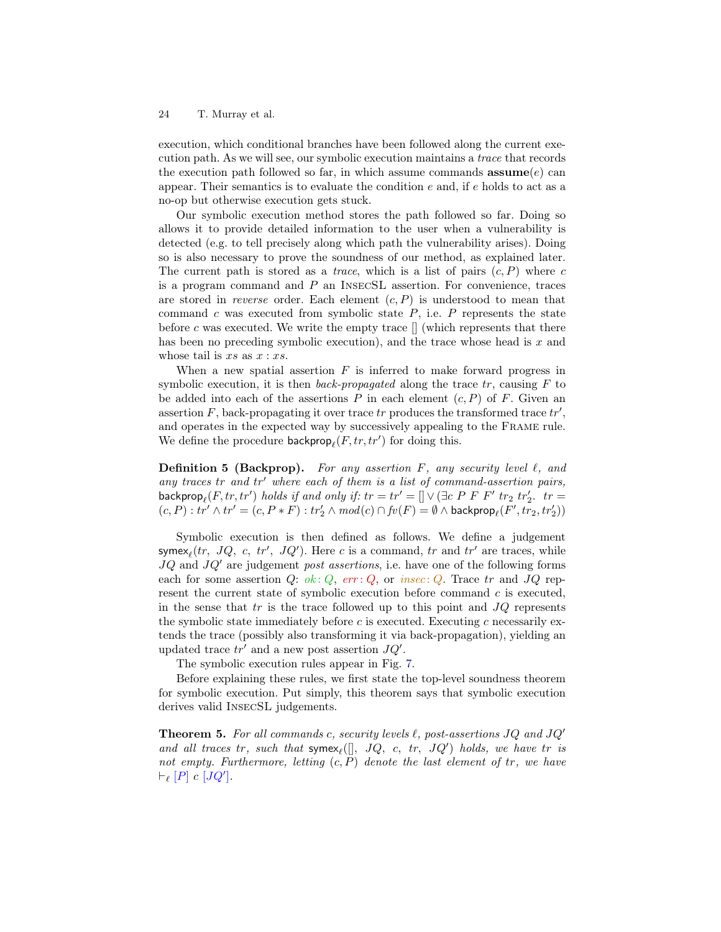execution, which conditional branches have been followed along the current execution path. As we will see, our symbolic execution maintains a trace that records the execution path followed so far, in which assume commands  $\mathbf{assume}(e)$  can appear. Their semantics is to evaluate the condition  $e$  and, if  $e$  holds to act as a no-op but otherwise execution gets stuck.

Our symbolic execution method stores the path followed so far. Doing so allows it to provide detailed information to the user when a vulnerability is detected (e.g. to tell precisely along which path the vulnerability arises). Doing so is also necessary to prove the soundness of our method, as explained later. The current path is stored as a *trace*, which is a list of pairs  $(c, P)$  where c is a program command and P an InsecSL assertion. For convenience, traces are stored in reverse order. Each element  $(c, P)$  is understood to mean that command  $c$  was executed from symbolic state  $P$ , i.e.  $P$  represents the state before  $c$  was executed. We write the empty trace  $\parallel$  (which represents that there has been no preceding symbolic execution), and the trace whose head is  $x$  and whose tail is  $xs$  as  $x : xs$ .

When a new spatial assertion  $F$  is inferred to make forward progress in symbolic execution, it is then *back-propagated* along the trace  $tr$ , causing  $F$  to be added into each of the assertions  $P$  in each element  $(c, P)$  of  $F$ . Given an assertion  $F$ , back-propagating it over trace  $tr$  produces the transformed trace  $tr'$ , and operates in the expected way by successively appealing to the Frame rule. We define the procedure  $\mathsf{backprop}_\ell(F, tr, tr')$  for doing this.

**Definition 5 (Backprop).** For any assertion F, any security level  $\ell$ , and any traces tr and  $tr'$  where each of them is a list of command-assertion pairs, backprop $_{\ell}(F, tr, tr')$  holds if and only if:  $tr = tr' = [] \vee (\exists c \; P \; F \; F' \; tr_2 \; tr'_2.$   $tr =$  $(c,P): \operatorname{tr}' \wedge \operatorname{tr}' = (c,P*F): \operatorname{tr}_2' \wedge \operatorname{mod}(c) \cap \operatorname{fv}(F) = \emptyset \wedge \operatorname{\textsf{backprop}}_\ell(F', \operatorname{tr}_2, \operatorname{tr}_2') )$ 

Symbolic execution is then defined as follows. We define a judgement symex<sub> $\ell$ </sub> $(tr, JQ, c, tr', JQ')$ . Here c is a command,  $tr$  and  $tr'$  are traces, while  $JQ$  and  $JQ'$  are judgement *post assertions*, i.e. have one of the following forms each for some assertion Q:  $ok: Q$ ,  $err: Q$ , or  $insec: Q$ . Trace tr and  $JQ$  represent the current state of symbolic execution before command  $c$  is executed, in the sense that  $tr$  is the trace followed up to this point and  $JQ$  represents the symbolic state immediately before  $c$  is executed. Executing  $c$  necessarily extends the trace (possibly also transforming it via back-propagation), yielding an updated trace  $tr'$  and a new post assertion  $JQ'$ .

The symbolic execution rules appear in Fig. [7.](#page-32-0)

Before explaining these rules, we first state the top-level soundness theorem for symbolic execution. Put simply, this theorem says that symbolic execution derives valid InsecSL judgements.

**Theorem 5.** For all commands c, security levels  $\ell$ , post-assertions JQ and JQ' and all traces tr, such that  $symex_{\ell}([\], JQ, c, tr, JQ')$  holds, we have tr is not empty. Furthermore, letting  $(c, P)$  denote the last element of tr, we have  $\vdash_{\ell} [P] \ c \ [JQ'].$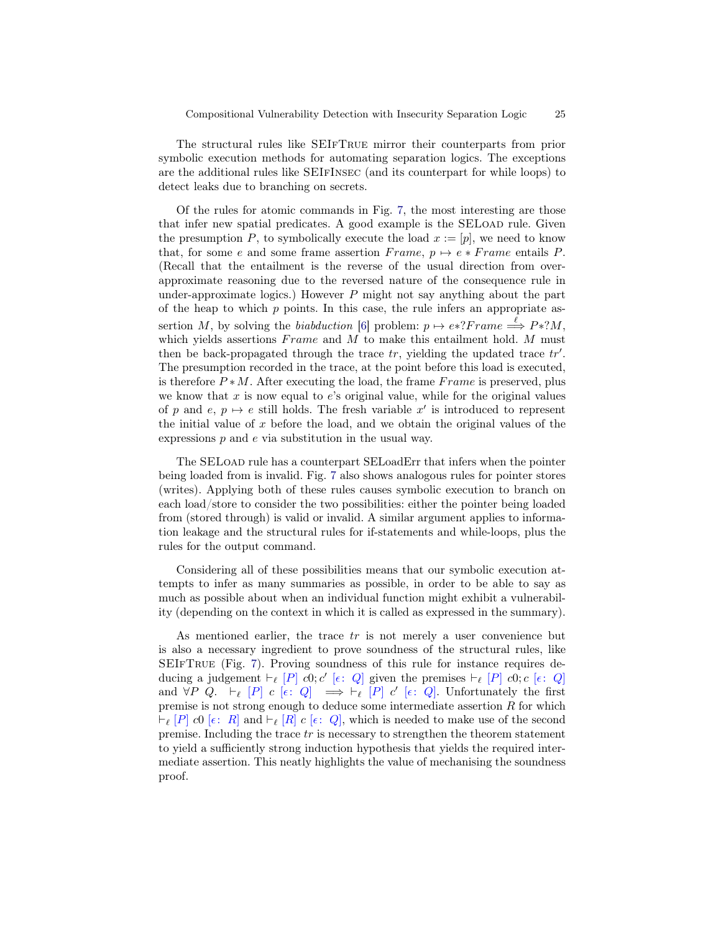The structural rules like SEIfTrue mirror their counterparts from prior symbolic execution methods for automating separation logics. The exceptions are the additional rules like SEIfInsec (and its counterpart for while loops) to detect leaks due to branching on secrets.

Of the rules for atomic commands in Fig. [7,](#page-32-0) the most interesting are those that infer new spatial predicates. A good example is the SELoad rule. Given the presumption P, to symbolically execute the load  $x := [p]$ , we need to know that, for some e and some frame assertion  $Frame, p \mapsto e * Frame$  entails P. (Recall that the entailment is the reverse of the usual direction from overapproximate reasoning due to the reversed nature of the consequence rule in under-approximate logics.) However  $P$  might not say anything about the part of the heap to which  $p$  points. In this case, the rule infers an appropriate as-sertion M, by solving the biabduction [\[6\]](#page-30-16) problem:  $p \mapsto e^*?Frame \stackrel{\ell}{\Longrightarrow} P*?M$ , which yields assertions  $Frame$  and  $M$  to make this entailment hold.  $M$  must then be back-propagated through the trace  $tr$ , yielding the updated trace  $tr'$ . The presumption recorded in the trace, at the point before this load is executed, is therefore  $P * M$ . After executing the load, the frame Frame is preserved, plus we know that  $x$  is now equal to  $e$ 's original value, while for the original values of p and  $e, p \mapsto e$  still holds. The fresh variable  $x'$  is introduced to represent the initial value of x before the load, and we obtain the original values of the expressions  $p$  and  $e$  via substitution in the usual way.

The SELOAD rule has a counterpart SELoadErr that infers when the pointer being loaded from is invalid. Fig. [7](#page-32-0) also shows analogous rules for pointer stores (writes). Applying both of these rules causes symbolic execution to branch on each load/store to consider the two possibilities: either the pointer being loaded from (stored through) is valid or invalid. A similar argument applies to information leakage and the structural rules for if-statements and while-loops, plus the rules for the output command.

Considering all of these possibilities means that our symbolic execution attempts to infer as many summaries as possible, in order to be able to say as much as possible about when an individual function might exhibit a vulnerability (depending on the context in which it is called as expressed in the summary).

As mentioned earlier, the trace  $tr$  is not merely a user convenience but is also a necessary ingredient to prove soundness of the structural rules, like SEIfTrue (Fig. [7\)](#page-32-0). Proving soundness of this rule for instance requires deducing a judgement  $\vdash_{\ell} [P]$  c0; c' [ $\epsilon$ : Q] given the premises  $\vdash_{\ell} [P]$  c0; c [ $\epsilon$ : Q] and  $\forall P \ Q. \vdash_{\ell} [P] \ c \ [\epsilon : Q] \implies \vdash_{\ell} [P] \ c' \ [\epsilon : Q].$  Unfortunately the first premise is not strong enough to deduce some intermediate assertion  $R$  for which  $\vdash_{\ell} [P]$  c0  $[\epsilon : R]$  and  $\vdash_{\ell} [R]$  c  $[\epsilon : Q]$ , which is needed to make use of the second premise. Including the trace  $tr$  is necessary to strengthen the theorem statement to yield a sufficiently strong induction hypothesis that yields the required intermediate assertion. This neatly highlights the value of mechanising the soundness proof.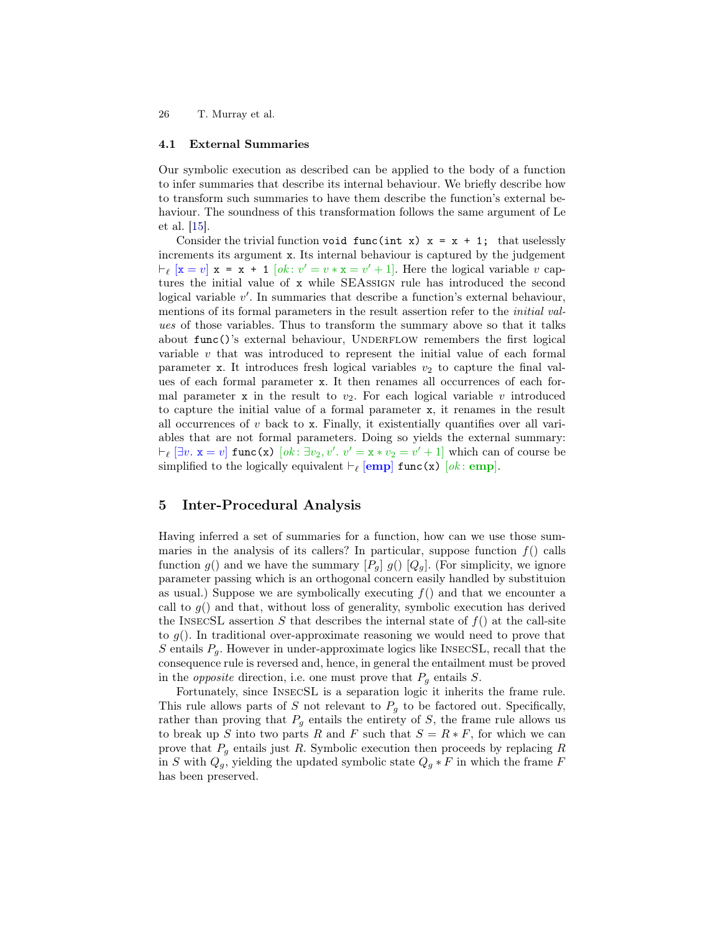## <span id="page-25-0"></span>4.1 External Summaries

Our symbolic execution as described can be applied to the body of a function to infer summaries that describe its internal behaviour. We briefly describe how to transform such summaries to have them describe the function's external behaviour. The soundness of this transformation follows the same argument of Le et al. [\[15\]](#page-30-15).

Consider the trivial function void func(int x)  $x = x + 1$ ; that uselessly increments its argument x. Its internal behaviour is captured by the judgement  $\vdash_{\ell} [\mathbf{x} = v] \mathbf{x} = \mathbf{x} + \mathbf{1} [ok : v' = v * \mathbf{x} = v' + 1].$  Here the logical variable v captures the initial value of x while SEAssign rule has introduced the second logical variable  $v'$ . In summaries that describe a function's external behaviour, mentions of its formal parameters in the result assertion refer to the initial values of those variables. Thus to transform the summary above so that it talks about  $func()$ 's external behaviour, UNDERFLOW remembers the first logical variable v that was introduced to represent the initial value of each formal parameter x. It introduces fresh logical variables  $v_2$  to capture the final values of each formal parameter x. It then renames all occurrences of each formal parameter x in the result to  $v_2$ . For each logical variable v introduced to capture the initial value of a formal parameter x, it renames in the result all occurrences of  $v$  back to  $x$ . Finally, it existentially quantifies over all variables that are not formal parameters. Doing so yields the external summary:  $\vdash_{\ell} [\exists v. \ x = v]$  func(x)  $[ok: \exists v_2, v'. v' = x * v_2 = v' + 1]$  which can of course be simplified to the logically equivalent  $\vdash_{\ell}$  [emp] func(x) [ok: emp].

# <span id="page-25-1"></span>5 Inter-Procedural Analysis

Having inferred a set of summaries for a function, how can we use those summaries in the analysis of its callers? In particular, suppose function  $f()$  calls function  $g()$  and we have the summary  $[P_q]$   $g() [Q_q]$ . (For simplicity, we ignore parameter passing which is an orthogonal concern easily handled by substituion as usual.) Suppose we are symbolically executing  $f()$  and that we encounter a call to  $g()$  and that, without loss of generality, symbolic execution has derived the INSECSL assertion S that describes the internal state of  $f()$  at the call-site to  $g(.)$ . In traditional over-approximate reasoning we would need to prove that S entails  $P<sub>g</sub>$ . However in under-approximate logics like INSECSL, recall that the consequence rule is reversed and, hence, in general the entailment must be proved in the *opposite* direction, i.e. one must prove that  $P_g$  entails  $S$ .

Fortunately, since InsecSL is a separation logic it inherits the frame rule. This rule allows parts of S not relevant to  $P<sub>g</sub>$  to be factored out. Specifically, rather than proving that  $P<sub>g</sub>$  entails the entirety of S, the frame rule allows us to break up S into two parts R and F such that  $S = R * F$ , for which we can prove that  $P<sub>g</sub>$  entails just R. Symbolic execution then proceeds by replacing R in S with  $Q_g$ , yielding the updated symbolic state  $Q_g * F$  in which the frame F has been preserved.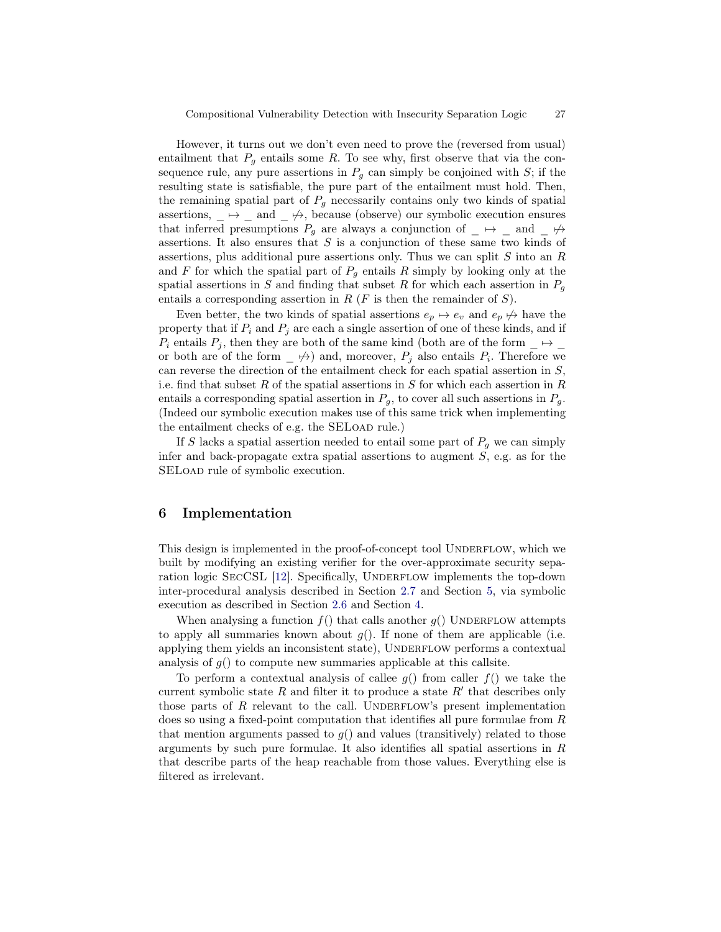However, it turns out we don't even need to prove the (reversed from usual) entailment that  $P_g$  entails some R. To see why, first observe that via the consequence rule, any pure assertions in  $P<sub>g</sub>$  can simply be conjoined with S; if the resulting state is satisfiable, the pure part of the entailment must hold. Then, the remaining spatial part of  $P_q$  necessarily contains only two kinds of spatial assertions,  $\mapsto$  and  $\neq$ , because (observe) our symbolic execution ensures that inferred presumptions  $P_g$  are always a conjunction of  $\Box \leftrightarrow \Box$  and  $\Box \not\leftrightarrow$ assertions. It also ensures that  $S$  is a conjunction of these same two kinds of assertions, plus additional pure assertions only. Thus we can split S into an R and F for which the spatial part of  $P<sub>g</sub>$  entails R simply by looking only at the spatial assertions in S and finding that subset R for which each assertion in  $P<sub>g</sub>$ entails a corresponding assertion in  $R$  ( $F$  is then the remainder of  $S$ ).

Even better, the two kinds of spatial assertions  $e_p \mapsto e_v$  and  $e_p \nleftrightarrow$  have the property that if  $P_i$  and  $P_j$  are each a single assertion of one of these kinds, and if  $P_i$  entails  $P_j$ , then they are both of the same kind (both are of the form  $\rightarrow$ or both are of the form  $\Box \not\rightarrow$  and, moreover,  $P_j$  also entails  $P_i$ . Therefore we can reverse the direction of the entailment check for each spatial assertion in  $S$ , i.e. find that subset R of the spatial assertions in S for which each assertion in R entails a corresponding spatial assertion in  $P_g$ , to cover all such assertions in  $P_g$ . (Indeed our symbolic execution makes use of this same trick when implementing the entailment checks of e.g. the SELOAD rule.)

If S lacks a spatial assertion needed to entail some part of  $P_q$  we can simply infer and back-propagate extra spatial assertions to augment  $S$ , e.g. as for the SELOAD rule of symbolic execution.

# <span id="page-26-0"></span>6 Implementation

This design is implemented in the proof-of-concept tool UNDERFLOW, which we built by modifying an existing verifier for the over-approximate security sepa-ration logic SECCSL [\[12\]](#page-30-7). Specifically, UNDERFLOW implements the top-down inter-procedural analysis described in Section [2.7](#page-10-1) and Section [5,](#page-25-1) via symbolic execution as described in Section [2.6](#page-7-2) and Section [4.](#page-22-0)

When analysing a function  $f()$  that calls another  $g()$  UNDERFLOW attempts to apply all summaries known about  $g()$ . If none of them are applicable (i.e. applying them yields an inconsistent state), UNDERFLOW performs a contextual analysis of  $g()$  to compute new summaries applicable at this callsite.

To perform a contextual analysis of callee  $g()$  from caller  $f()$  we take the current symbolic state  $R$  and filter it to produce a state  $R'$  that describes only those parts of  $R$  relevant to the call. UNDERFLOW's present implementation does so using a fixed-point computation that identifies all pure formulae from R that mention arguments passed to  $g()$  and values (transitively) related to those arguments by such pure formulae. It also identifies all spatial assertions in R that describe parts of the heap reachable from those values. Everything else is filtered as irrelevant.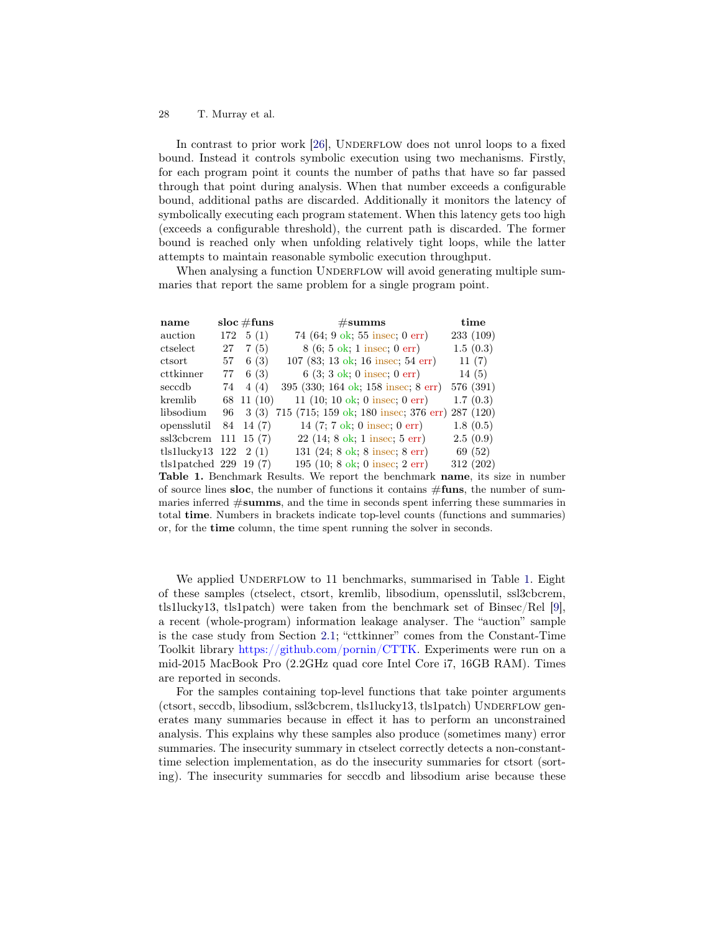In contrast to prior work  $[26]$ , UNDERFLOW does not unrol loops to a fixed bound. Instead it controls symbolic execution using two mechanisms. Firstly, for each program point it counts the number of paths that have so far passed through that point during analysis. When that number exceeds a configurable bound, additional paths are discarded. Additionally it monitors the latency of symbolically executing each program statement. When this latency gets too high (exceeds a configurable threshold), the current path is discarded. The former bound is reached only when unfolding relatively tight loops, while the latter attempts to maintain reasonable symbolic execution throughput.

When analysing a function UNDERFLOW will avoid generating multiple summaries that report the same problem for a single program point.

| name                         |      | $\frac{1}{2}$ sloc $\#$ funs | $\#\mathrm{summs}$                                       | time      |
|------------------------------|------|------------------------------|----------------------------------------------------------|-----------|
| auction                      |      | $172 \quad 5(1)$             | 74 $(64; 9 \text{ ok}; 55 \text{ insec}; 0 \text{ err})$ | 233 (109) |
| ctselect                     |      | $27 \quad 7(5)$              | $8(6; 5 \text{ ok}; 1 \text{ insec}; 0 \text{ err})$     | 1.5(0.3)  |
| ctsort                       |      | $57 \quad 6(3)$              | 107 (83; 13 ok; 16 insec; 54 err)                        | 11(7)     |
| cttkinner                    | 77 - | 6(3)                         | $6(3; 3 \text{ ok}; 0 \text{ insec}; 0 \text{ err})$     | 14(5)     |
| seccdb                       | 74   | 4(4)                         | 395 (330; 164 ok; 158 insec; 8 err)                      | 576 (391) |
| kremlib                      |      | 68 11 (10)                   | 11 (10; 10 ok; 0 insec; 0 err)                           | 1.7(0.3)  |
| libsodium                    | 96   | 3(3)                         | 715 (715; 159 ok; 180 insec; 376 err) 287 (120)          |           |
| opensslutil                  |      | 84 14 (7)                    | 14 $(7; 7 \text{ ok}; 0 \text{ insect}; 0 \text{ err})$  | 1.8(0.5)  |
| ssl3cbcrem                   |      | $111 \t15(7)$                | $22$ (14; 8 ok; 1 insec; 5 err)                          | 2.5(0.9)  |
| tls1lucky13 $122 \quad 2(1)$ |      |                              | 131 $(24; 8 \text{ ok}; 8 \text{ insec}; 8 \text{ err})$ | 69 (52)   |
| tls1patched $229$ 19 (7)     |      |                              | 195 $(10; 8 \text{ ok}; 0 \text{ insec}; 2 \text{ err})$ | 312 (202) |

<span id="page-27-0"></span>Table 1. Benchmark Results. We report the benchmark name, its size in number of source lines sloc, the number of functions it contains  $\#\textbf{funs}$ , the number of summaries inferred #summs, and the time in seconds spent inferring these summaries in total time. Numbers in brackets indicate top-level counts (functions and summaries) or, for the time column, the time spent running the solver in seconds.

We applied UNDERFLOW to 11 benchmarks, summarised in Table [1.](#page-27-0) Eight of these samples (ctselect, ctsort, kremlib, libsodium, opensslutil, ssl3cbcrem, tls1lucky13, tls1patch) were taken from the benchmark set of Binsec/Rel [\[9\]](#page-30-3), a recent (whole-program) information leakage analyser. The "auction" sample is the case study from Section [2.1;](#page-1-0) "cttkinner" comes from the Constant-Time Toolkit library [https://github.com/pornin/CTTK.](https://github.com/pornin/CTTK) Experiments were run on a mid-2015 MacBook Pro (2.2GHz quad core Intel Core i7, 16GB RAM). Times are reported in seconds.

For the samples containing top-level functions that take pointer arguments (ctsort, seccdb, libsodium, ssl3cbcrem, tls1lucky13, tls1patch) UNDERFLOW generates many summaries because in effect it has to perform an unconstrained analysis. This explains why these samples also produce (sometimes many) error summaries. The insecurity summary in ctselect correctly detects a non-constanttime selection implementation, as do the insecurity summaries for ctsort (sorting). The insecurity summaries for seccdb and libsodium arise because these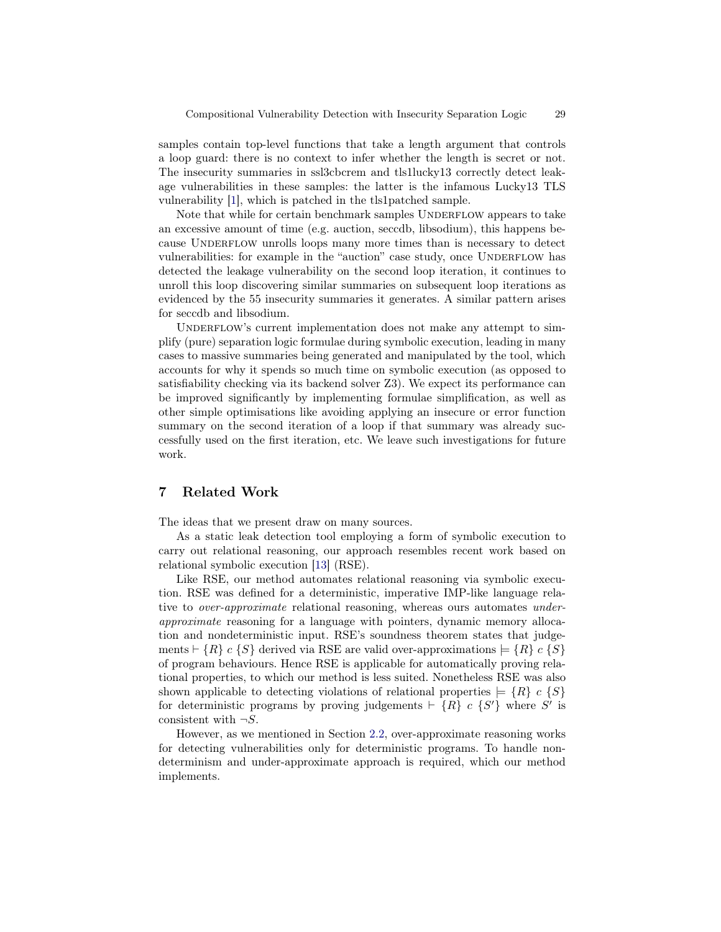samples contain top-level functions that take a length argument that controls a loop guard: there is no context to infer whether the length is secret or not. The insecurity summaries in ssl3cbcrem and tls1lucky13 correctly detect leakage vulnerabilities in these samples: the latter is the infamous Lucky13 TLS vulnerability [\[1\]](#page-29-0), which is patched in the tls1patched sample.

Note that while for certain benchmark samples UNDERFLOW appears to take an excessive amount of time (e.g. auction, seccdb, libsodium), this happens because UNDERFLOW unrolls loops many more times than is necessary to detect vulnerabilities: for example in the "auction" case study, once UNDERFLOW has detected the leakage vulnerability on the second loop iteration, it continues to unroll this loop discovering similar summaries on subsequent loop iterations as evidenced by the 55 insecurity summaries it generates. A similar pattern arises for seccdb and libsodium.

UNDERFLOW's current implementation does not make any attempt to simplify (pure) separation logic formulae during symbolic execution, leading in many cases to massive summaries being generated and manipulated by the tool, which accounts for why it spends so much time on symbolic execution (as opposed to satisfiability checking via its backend solver Z3). We expect its performance can be improved significantly by implementing formulae simplification, as well as other simple optimisations like avoiding applying an insecure or error function summary on the second iteration of a loop if that summary was already successfully used on the first iteration, etc. We leave such investigations for future work.

# 7 Related Work

The ideas that we present draw on many sources.

As a static leak detection tool employing a form of symbolic execution to carry out relational reasoning, our approach resembles recent work based on relational symbolic execution [\[13\]](#page-30-2) (RSE).

Like RSE, our method automates relational reasoning via symbolic execution. RSE was defined for a deterministic, imperative IMP-like language relative to *over-approximate* relational reasoning, whereas ours automates *under*approximate reasoning for a language with pointers, dynamic memory allocation and nondeterministic input. RSE's soundness theorem states that judgements  $\vdash \{R\}$  c  $\{S\}$  derived via RSE are valid over-approximations  $\models \{R\}$  c  $\{S\}$ of program behaviours. Hence RSE is applicable for automatically proving relational properties, to which our method is less suited. Nonetheless RSE was also shown applicable to detecting violations of relational properties  $= \{R\} c \{S\}$ for deterministic programs by proving judgements  $\vdash \{R\}$  c  $\{S'\}$  where S' is consistent with  $\neg S$ .

However, as we mentioned in Section [2.2,](#page-3-0) over-approximate reasoning works for detecting vulnerabilities only for deterministic programs. To handle nondeterminism and under-approximate approach is required, which our method implements.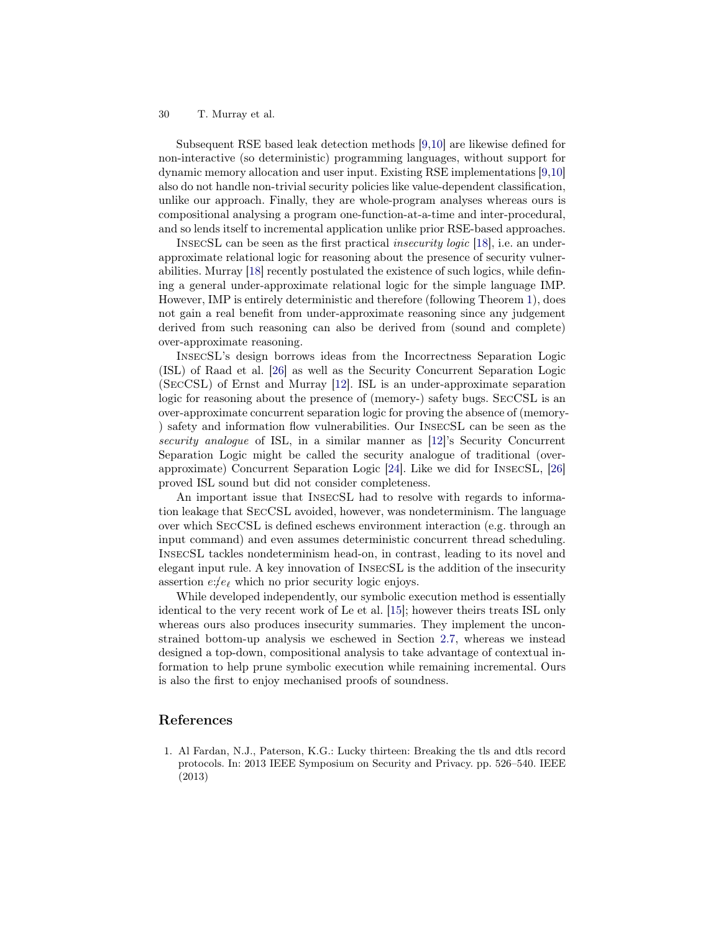Subsequent RSE based leak detection methods [\[9](#page-30-3)[,10\]](#page-30-4) are likewise defined for non-interactive (so deterministic) programming languages, without support for dynamic memory allocation and user input. Existing RSE implementations [\[9,](#page-30-3)[10\]](#page-30-4) also do not handle non-trivial security policies like value-dependent classification, unlike our approach. Finally, they are whole-program analyses whereas ours is compositional analysing a program one-function-at-a-time and inter-procedural, and so lends itself to incremental application unlike prior RSE-based approaches.

InsecSL can be seen as the first practical insecurity logic [\[18\]](#page-30-10), i.e. an underapproximate relational logic for reasoning about the presence of security vulnerabilities. Murray [\[18\]](#page-30-10) recently postulated the existence of such logics, while defining a general under-approximate relational logic for the simple language IMP. However, IMP is entirely deterministic and therefore (following Theorem [1\)](#page-5-0), does not gain a real benefit from under-approximate reasoning since any judgement derived from such reasoning can also be derived from (sound and complete) over-approximate reasoning.

InsecSL's design borrows ideas from the Incorrectness Separation Logic (ISL) of Raad et al. [\[26\]](#page-31-1) as well as the Security Concurrent Separation Logic (SecCSL) of Ernst and Murray [\[12\]](#page-30-7). ISL is an under-approximate separation logic for reasoning about the presence of (memory-) safety bugs. SecCSL is an over-approximate concurrent separation logic for proving the absence of (memory- ) safety and information flow vulnerabilities. Our InsecSL can be seen as the security analogue of ISL, in a similar manner as [\[12\]](#page-30-7)'s Security Concurrent Separation Logic might be called the security analogue of traditional (overapproximate) Concurrent Separation Logic [\[24\]](#page-31-14). Like we did for InsecSL, [\[26\]](#page-31-1) proved ISL sound but did not consider completeness.

An important issue that InsecSL had to resolve with regards to information leakage that SecCSL avoided, however, was nondeterminism. The language over which SecCSL is defined eschews environment interaction (e.g. through an input command) and even assumes deterministic concurrent thread scheduling. InsecSL tackles nondeterminism head-on, in contrast, leading to its novel and elegant input rule. A key innovation of InsecSL is the addition of the insecurity assertion  $e$ :/ $e_{\ell}$  which no prior security logic enjoys.

While developed independently, our symbolic execution method is essentially identical to the very recent work of Le et al. [\[15\]](#page-30-15); however theirs treats ISL only whereas ours also produces insecurity summaries. They implement the unconstrained bottom-up analysis we eschewed in Section [2.7,](#page-10-1) whereas we instead designed a top-down, compositional analysis to take advantage of contextual information to help prune symbolic execution while remaining incremental. Ours is also the first to enjoy mechanised proofs of soundness.

# References

<span id="page-29-0"></span>1. Al Fardan, N.J., Paterson, K.G.: Lucky thirteen: Breaking the tls and dtls record protocols. In: 2013 IEEE Symposium on Security and Privacy. pp. 526–540. IEEE (2013)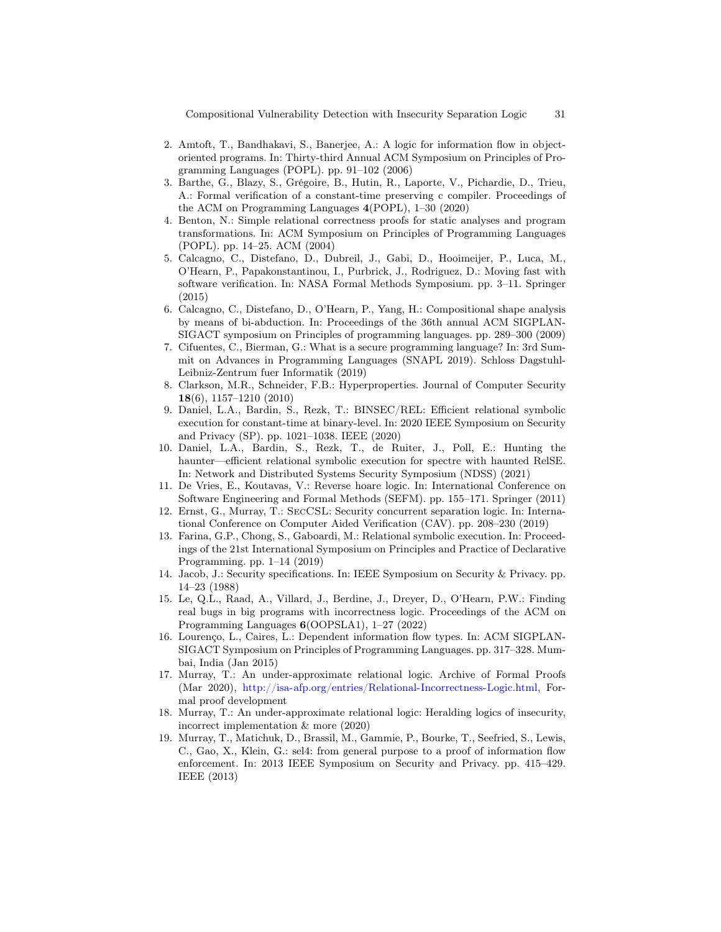Compositional Vulnerability Detection with Insecurity Separation Logic 31

- <span id="page-30-5"></span>2. Amtoft, T., Bandhakavi, S., Banerjee, A.: A logic for information flow in objectoriented programs. In: Thirty-third Annual ACM Symposium on Principles of Programming Languages (POPL). pp. 91–102 (2006)
- <span id="page-30-17"></span>3. Barthe, G., Blazy, S., Grégoire, B., Hutin, R., Laporte, V., Pichardie, D., Trieu, A.: Formal verification of a constant-time preserving c compiler. Proceedings of the ACM on Programming Languages 4(POPL), 1–30 (2020)
- <span id="page-30-12"></span>4. Benton, N.: Simple relational correctness proofs for static analyses and program transformations. In: ACM Symposium on Principles of Programming Languages (POPL). pp. 14–25. ACM (2004)
- <span id="page-30-1"></span>5. Calcagno, C., Distefano, D., Dubreil, J., Gabi, D., Hooimeijer, P., Luca, M., O'Hearn, P., Papakonstantinou, I., Purbrick, J., Rodriguez, D.: Moving fast with software verification. In: NASA Formal Methods Symposium. pp. 3–11. Springer (2015)
- <span id="page-30-16"></span>6. Calcagno, C., Distefano, D., O'Hearn, P., Yang, H.: Compositional shape analysis by means of bi-abduction. In: Proceedings of the 36th annual ACM SIGPLAN-SIGACT symposium on Principles of programming languages. pp. 289–300 (2009)
- <span id="page-30-0"></span>7. Cifuentes, C., Bierman, G.: What is a secure programming language? In: 3rd Summit on Advances in Programming Languages (SNAPL 2019). Schloss Dagstuhl-Leibniz-Zentrum fuer Informatik (2019)
- <span id="page-30-8"></span>8. Clarkson, M.R., Schneider, F.B.: Hyperproperties. Journal of Computer Security 18(6), 1157–1210 (2010)
- <span id="page-30-3"></span>9. Daniel, L.A., Bardin, S., Rezk, T.: BINSEC/REL: Efficient relational symbolic execution for constant-time at binary-level. In: 2020 IEEE Symposium on Security and Privacy (SP). pp. 1021–1038. IEEE (2020)
- <span id="page-30-4"></span>10. Daniel, L.A., Bardin, S., Rezk, T., de Ruiter, J., Poll, E.: Hunting the haunter—efficient relational symbolic execution for spectre with haunted RelSE. In: Network and Distributed Systems Security Symposium (NDSS) (2021)
- <span id="page-30-14"></span>11. De Vries, E., Koutavas, V.: Reverse hoare logic. In: International Conference on Software Engineering and Formal Methods (SEFM). pp. 155–171. Springer (2011)
- <span id="page-30-7"></span>12. Ernst, G., Murray, T.: SecCSL: Security concurrent separation logic. In: International Conference on Computer Aided Verification (CAV). pp. 208–230 (2019)
- <span id="page-30-2"></span>13. Farina, G.P., Chong, S., Gaboardi, M.: Relational symbolic execution. In: Proceedings of the 21st International Symposium on Principles and Practice of Declarative Programming. pp. 1–14 (2019)
- <span id="page-30-9"></span>14. Jacob, J.: Security specifications. In: IEEE Symposium on Security & Privacy. pp. 14–23 (1988)
- <span id="page-30-15"></span>15. Le, Q.L., Raad, A., Villard, J., Berdine, J., Dreyer, D., O'Hearn, P.W.: Finding real bugs in big programs with incorrectness logic. Proceedings of the ACM on Programming Languages 6(OOPSLA1), 1–27 (2022)
- <span id="page-30-6"></span>16. Lourenço, L., Caires, L.: Dependent information flow types. In: ACM SIGPLAN-SIGACT Symposium on Principles of Programming Languages. pp. 317–328. Mumbai, India (Jan 2015)
- <span id="page-30-11"></span>17. Murray, T.: An under-approximate relational logic. Archive of Formal Proofs (Mar 2020), [http://isa-afp.org/entries/Relational-Incorrectness-Logic.html,](http://isa-afp.org/entries/Relational-Incorrectness-Logic.html) Formal proof development
- <span id="page-30-10"></span>18. Murray, T.: An under-approximate relational logic: Heralding logics of insecurity, incorrect implementation & more (2020)
- <span id="page-30-13"></span>19. Murray, T., Matichuk, D., Brassil, M., Gammie, P., Bourke, T., Seefried, S., Lewis, C., Gao, X., Klein, G.: sel4: from general purpose to a proof of information flow enforcement. In: 2013 IEEE Symposium on Security and Privacy. pp. 415–429. IEEE (2013)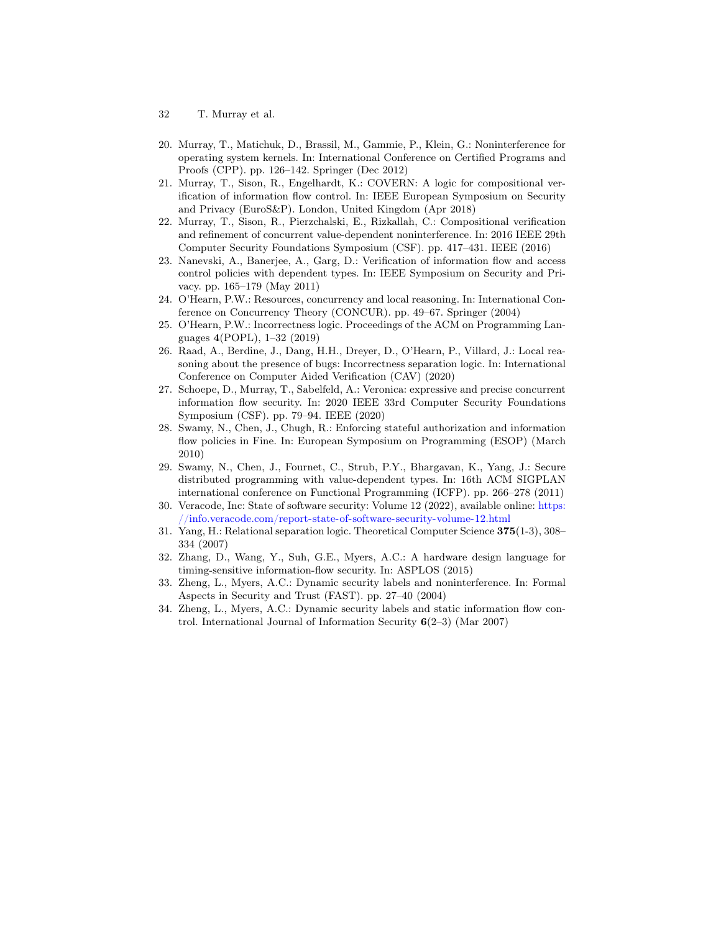- 32 T. Murray et al.
- <span id="page-31-7"></span>20. Murray, T., Matichuk, D., Brassil, M., Gammie, P., Klein, G.: Noninterference for operating system kernels. In: International Conference on Certified Programs and Proofs (CPP). pp. 126–142. Springer (Dec 2012)
- <span id="page-31-10"></span>21. Murray, T., Sison, R., Engelhardt, K.: COVERN: A logic for compositional verification of information flow control. In: IEEE European Symposium on Security and Privacy (EuroS&P). London, United Kingdom (Apr 2018)
- <span id="page-31-9"></span>22. Murray, T., Sison, R., Pierzchalski, E., Rizkallah, C.: Compositional verification and refinement of concurrent value-dependent noninterference. In: 2016 IEEE 29th Computer Security Foundations Symposium (CSF). pp. 417–431. IEEE (2016)
- <span id="page-31-6"></span>23. Nanevski, A., Banerjee, A., Garg, D.: Verification of information flow and access control policies with dependent types. In: IEEE Symposium on Security and Privacy. pp. 165–179 (May 2011)
- <span id="page-31-14"></span>24. O'Hearn, P.W.: Resources, concurrency and local reasoning. In: International Conference on Concurrency Theory (CONCUR). pp. 49–67. Springer (2004)
- <span id="page-31-11"></span>25. O'Hearn, P.W.: Incorrectness logic. Proceedings of the ACM on Programming Languages 4(POPL), 1–32 (2019)
- <span id="page-31-1"></span>26. Raad, A., Berdine, J., Dang, H.H., Dreyer, D., O'Hearn, P., Villard, J.: Local reasoning about the presence of bugs: Incorrectness separation logic. In: International Conference on Computer Aided Verification (CAV) (2020)
- <span id="page-31-13"></span>27. Schoepe, D., Murray, T., Sabelfeld, A.: Veronica: expressive and precise concurrent information flow security. In: 2020 IEEE 33rd Computer Security Foundations Symposium (CSF). pp. 79–94. IEEE (2020)
- <span id="page-31-4"></span>28. Swamy, N., Chen, J., Chugh, R.: Enforcing stateful authorization and information flow policies in Fine. In: European Symposium on Programming (ESOP) (March 2010)
- <span id="page-31-5"></span>29. Swamy, N., Chen, J., Fournet, C., Strub, P.Y., Bhargavan, K., Yang, J.: Secure distributed programming with value-dependent types. In: 16th ACM SIGPLAN international conference on Functional Programming (ICFP). pp. 266–278 (2011)
- <span id="page-31-0"></span>30. Veracode, Inc: State of software security: Volume 12 (2022), available online: [https:](https://info.veracode.com/report-state-of-software-security-volume-12.html) [//info.veracode.com/report-state-of-software-security-volume-12.html](https://info.veracode.com/report-state-of-software-security-volume-12.html)
- <span id="page-31-12"></span>31. Yang, H.: Relational separation logic. Theoretical Computer Science 375(1-3), 308– 334 (2007)
- <span id="page-31-8"></span>32. Zhang, D., Wang, Y., Suh, G.E., Myers, A.C.: A hardware design language for timing-sensitive information-flow security. In: ASPLOS (2015)
- <span id="page-31-2"></span>33. Zheng, L., Myers, A.C.: Dynamic security labels and noninterference. In: Formal Aspects in Security and Trust (FAST). pp. 27–40 (2004)
- <span id="page-31-3"></span>34. Zheng, L., Myers, A.C.: Dynamic security labels and static information flow control. International Journal of Information Security  $6(2-3)$  (Mar 2007)